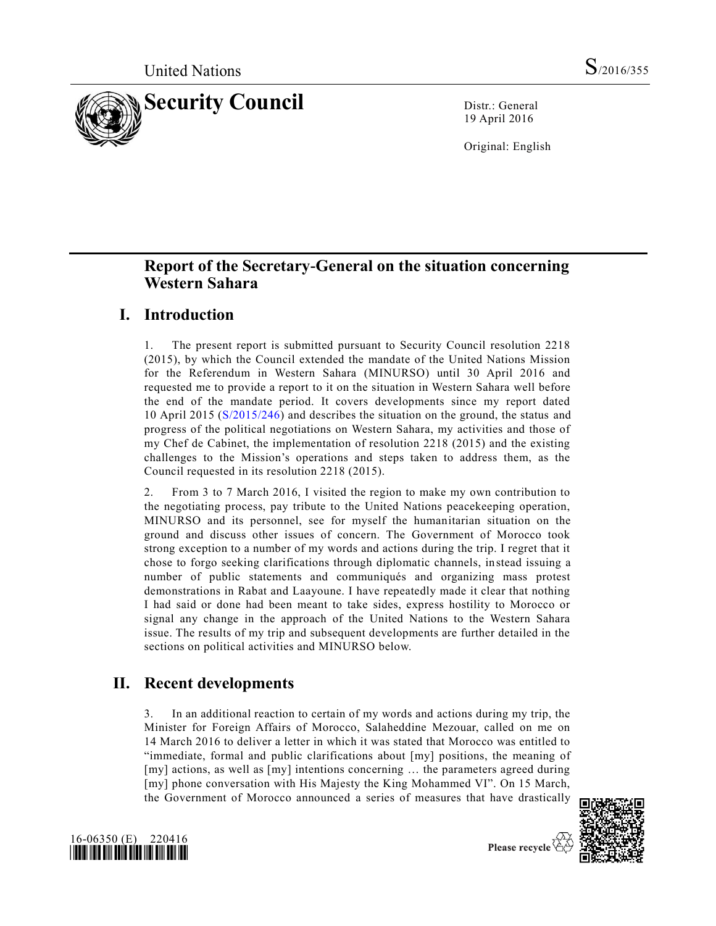

19 April 2016

Original: English

## **Report of the Secretary-General on the situation concerning Western Sahara**

### **I. Introduction**

1. The present report is submitted pursuant to Security Council resolution 2218 (2015), by which the Council extended the mandate of the United Nations Mission for the Referendum in Western Sahara (MINURSO) until 30 April 2016 and requested me to provide a report to it on the situation in Western Sahara well before the end of the mandate period. It covers developments since my report dated 10 April 2015 [\(S/2015/246\)](http://undocs.org/S/2015/246) and describes the situation on the ground, the status and progress of the political negotiations on Western Sahara, my activities and those of my Chef de Cabinet, the implementation of resolution 2218 (2015) and the existing challenges to the Mission's operations and steps taken to address them, as the Council requested in its resolution 2218 (2015).

2. From 3 to 7 March 2016, I visited the region to make my own contribution to the negotiating process, pay tribute to the United Nations peacekeeping operation, MINURSO and its personnel, see for myself the humanitarian situation on the ground and discuss other issues of concern. The Government of Morocco took strong exception to a number of my words and actions during the trip. I regret that it chose to forgo seeking clarifications through diplomatic channels, instead issuing a number of public statements and communiqués and organizing mass protest demonstrations in Rabat and Laayoune. I have repeatedly made it clear that nothing I had said or done had been meant to take sides, express hostility to Morocco or signal any change in the approach of the United Nations to the Western Sahara issue. The results of my trip and subsequent developments are further detailed in the sections on political activities and MINURSO below.

### **II. Recent developments**

3. In an additional reaction to certain of my words and actions during my trip, the Minister for Foreign Affairs of Morocco, Salaheddine Mezouar, called on me on 14 March 2016 to deliver a letter in which it was stated that Morocco was entitled to "immediate, formal and public clarifications about [my] positions, the meaning of [my] actions, as well as [my] intentions concerning … the parameters agreed during [my] phone conversation with His Majesty the King Mohammed VI". On 15 March, the Government of Morocco announced a series of measures that have drastically





Please recycle  $\overline{\mathcal{C}}$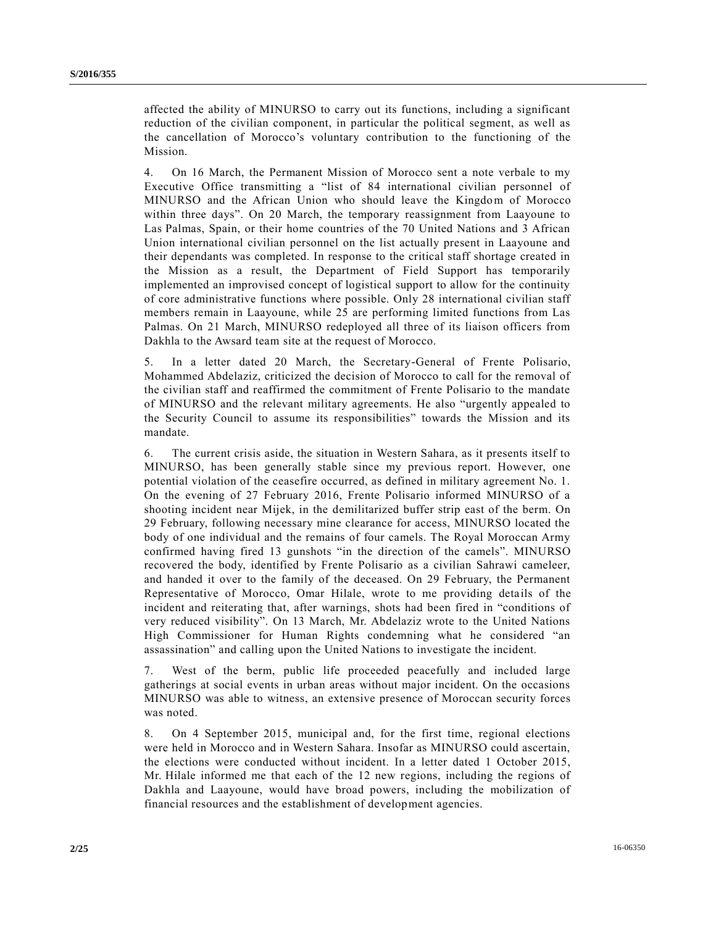affected the ability of MINURSO to carry out its functions, including a significant reduction of the civilian component, in particular the political segment, as well as the cancellation of Morocco's voluntary contribution to the functioning of the Mission.

4. On 16 March, the Permanent Mission of Morocco sent a note verbale to my Executive Office transmitting a "list of 84 international civilian personnel of MINURSO and the African Union who should leave the Kingdom of Morocco within three days". On 20 March, the temporary reassignment from Laayoune to Las Palmas, Spain, or their home countries of the 70 United Nations and 3 African Union international civilian personnel on the list actually present in Laayoune and their dependants was completed. In response to the critical staff shortage created in the Mission as a result, the Department of Field Support has temporarily implemented an improvised concept of logistical support to allow for the continuity of core administrative functions where possible. Only 28 international civilian staff members remain in Laayoune, while 25 are performing limited functions from Las Palmas. On 21 March, MINURSO redeployed all three of its liaison officers from Dakhla to the Awsard team site at the request of Morocco.

5. In a letter dated 20 March, the Secretary-General of Frente Polisario, Mohammed Abdelaziz, criticized the decision of Morocco to call for the removal of the civilian staff and reaffirmed the commitment of Frente Polisario to the mandate of MINURSO and the relevant military agreements. He also "urgently appealed to the Security Council to assume its responsibilities" towards the Mission and its mandate.

6. The current crisis aside, the situation in Western Sahara, as it presents itself to MINURSO, has been generally stable since my previous report. However, one potential violation of the ceasefire occurred, as defined in military agreement No. 1. On the evening of 27 February 2016, Frente Polisario informed MINURSO of a shooting incident near Mijek, in the demilitarized buffer strip east of the berm. On 29 February, following necessary mine clearance for access, MINURSO located the body of one individual and the remains of four camels. The Royal Moroccan Army confirmed having fired 13 gunshots "in the direction of the camels". MINURSO recovered the body, identified by Frente Polisario as a civilian Sahrawi cameleer, and handed it over to the family of the deceased. On 29 February, the Permanent Representative of Morocco, Omar Hilale, wrote to me providing details of the incident and reiterating that, after warnings, shots had been fired in "conditions of very reduced visibility". On 13 March, Mr. Abdelaziz wrote to the United Nations High Commissioner for Human Rights condemning what he considered "an assassination" and calling upon the United Nations to investigate the incident.

7. West of the berm, public life proceeded peacefully and included large gatherings at social events in urban areas without major incident. On the occasions MINURSO was able to witness, an extensive presence of Moroccan security forces was noted.

8. On 4 September 2015, municipal and, for the first time, regional elections were held in Morocco and in Western Sahara. Insofar as MINURSO could ascertain, the elections were conducted without incident. In a letter dated 1 October 2015, Mr. Hilale informed me that each of the 12 new regions, including the regions of Dakhla and Laayoune, would have broad powers, including the mobilization of financial resources and the establishment of development agencies.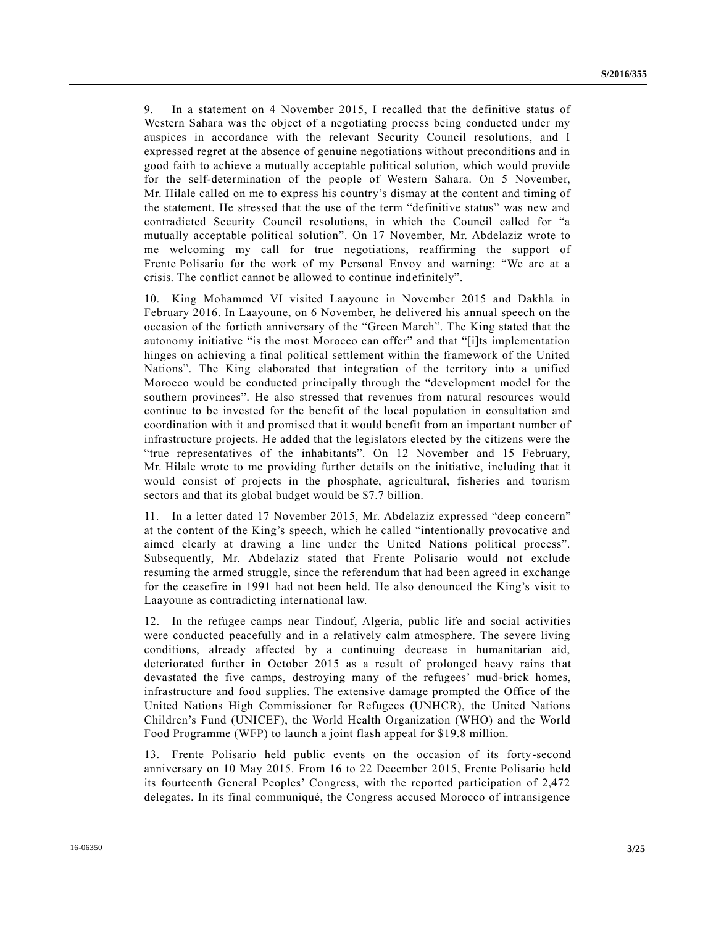9. In a statement on 4 November 2015, I recalled that the definitive status of Western Sahara was the object of a negotiating process being conducted under my auspices in accordance with the relevant Security Council resolutions, and I expressed regret at the absence of genuine negotiations without preconditions and in good faith to achieve a mutually acceptable political solution, which would provide for the self-determination of the people of Western Sahara. On 5 November, Mr. Hilale called on me to express his country's dismay at the content and timing of the statement. He stressed that the use of the term "definitive status" was new and contradicted Security Council resolutions, in which the Council called for "a mutually acceptable political solution". On 17 November, Mr. Abdelaziz wrote to me welcoming my call for true negotiations, reaffirming the support of Frente Polisario for the work of my Personal Envoy and warning: "We are at a crisis. The conflict cannot be allowed to continue indefinitely".

10. King Mohammed VI visited Laayoune in November 2015 and Dakhla in February 2016. In Laayoune, on 6 November, he delivered his annual speech on the occasion of the fortieth anniversary of the "Green March". The King stated that the autonomy initiative "is the most Morocco can offer" and that "[i]ts implementation hinges on achieving a final political settlement within the framework of the United Nations". The King elaborated that integration of the territory into a unified Morocco would be conducted principally through the "development model for the southern provinces". He also stressed that revenues from natural resources would continue to be invested for the benefit of the local population in consultation and coordination with it and promised that it would benefit from an important number of infrastructure projects. He added that the legislators elected by the citizens were the "true representatives of the inhabitants". On 12 November and 15 February, Mr. Hilale wrote to me providing further details on the initiative, including that it would consist of projects in the phosphate, agricultural, fisheries and tourism sectors and that its global budget would be \$7.7 billion.

11. In a letter dated 17 November 2015, Mr. Abdelaziz expressed "deep concern" at the content of the King's speech, which he called "intentionally provocative and aimed clearly at drawing a line under the United Nations political process". Subsequently, Mr. Abdelaziz stated that Frente Polisario would not exclude resuming the armed struggle, since the referendum that had been agreed in exchange for the ceasefire in 1991 had not been held. He also denounced the King's visit to Laayoune as contradicting international law.

12. In the refugee camps near Tindouf, Algeria, public life and social activities were conducted peacefully and in a relatively calm atmosphere. The severe living conditions, already affected by a continuing decrease in humanitarian aid, deteriorated further in October 2015 as a result of prolonged heavy rains that devastated the five camps, destroying many of the refugees' mud -brick homes, infrastructure and food supplies. The extensive damage prompted the Office of the United Nations High Commissioner for Refugees (UNHCR), the United Nations Children's Fund (UNICEF), the World Health Organization (WHO) and the World Food Programme (WFP) to launch a joint flash appeal for \$19.8 million.

13. Frente Polisario held public events on the occasion of its forty-second anniversary on 10 May 2015. From 16 to 22 December 2015, Frente Polisario held its fourteenth General Peoples' Congress, with the reported participation of 2,472 delegates. In its final communiqué, the Congress accused Morocco of intransigence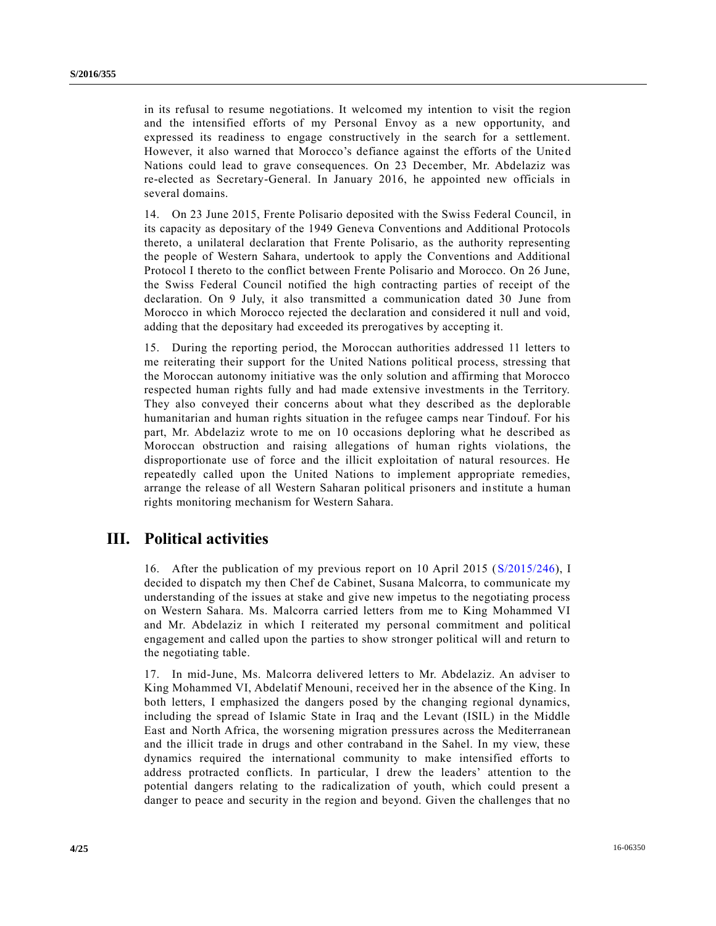in its refusal to resume negotiations. It welcomed my intention to visit the region and the intensified efforts of my Personal Envoy as a new opportunity, and expressed its readiness to engage constructively in the search for a settlement. However, it also warned that Morocco's defiance against the efforts of the United Nations could lead to grave consequences. On 23 December, Mr. Abdelaziz was re-elected as Secretary-General. In January 2016, he appointed new officials in several domains.

14. On 23 June 2015, Frente Polisario deposited with the Swiss Federal Council, in its capacity as depositary of the 1949 Geneva Conventions and Additional Protocols thereto, a unilateral declaration that Frente Polisario, as the authority representing the people of Western Sahara, undertook to apply the Conventions and Additional Protocol I thereto to the conflict between Frente Polisario and Morocco. On 26 June, the Swiss Federal Council notified the high contracting parties of receipt of the declaration. On 9 July, it also transmitted a communication dated 30 June from Morocco in which Morocco rejected the declaration and considered it null and void, adding that the depositary had exceeded its prerogatives by accepting it.

15. During the reporting period, the Moroccan authorities addressed 11 letters to me reiterating their support for the United Nations political process, stressing that the Moroccan autonomy initiative was the only solution and affirming that Morocco respected human rights fully and had made extensive investments in the Territory. They also conveyed their concerns about what they described as the deplorable humanitarian and human rights situation in the refugee camps near Tindouf. For his part, Mr. Abdelaziz wrote to me on 10 occasions deploring what he described as Moroccan obstruction and raising allegations of human rights violations, the disproportionate use of force and the illicit exploitation of natural resources. He repeatedly called upon the United Nations to implement appropriate remedies, arrange the release of all Western Saharan political prisoners and institute a human rights monitoring mechanism for Western Sahara.

### **III. Political activities**

16. After the publication of my previous report on 10 April 2015 [\(S/2015/246\)](http://undocs.org/S/2015/246), I decided to dispatch my then Chef de Cabinet, Susana Malcorra, to communicate my understanding of the issues at stake and give new impetus to the negotiating process on Western Sahara. Ms. Malcorra carried letters from me to King Mohammed VI and Mr. Abdelaziz in which I reiterated my personal commitment and political engagement and called upon the parties to show stronger political will and return to the negotiating table.

17. In mid-June, Ms. Malcorra delivered letters to Mr. Abdelaziz. An adviser to King Mohammed VI, Abdelatif Menouni, received her in the absence of the King. In both letters, I emphasized the dangers posed by the changing regional dynamics, including the spread of Islamic State in Iraq and the Levant (ISIL) in the Middle East and North Africa, the worsening migration pressures across the Mediterranean and the illicit trade in drugs and other contraband in the Sahel. In my view, these dynamics required the international community to make intensified efforts to address protracted conflicts. In particular, I drew the leaders' attention to the potential dangers relating to the radicalization of youth, which could present a danger to peace and security in the region and beyond. Given the challenges that no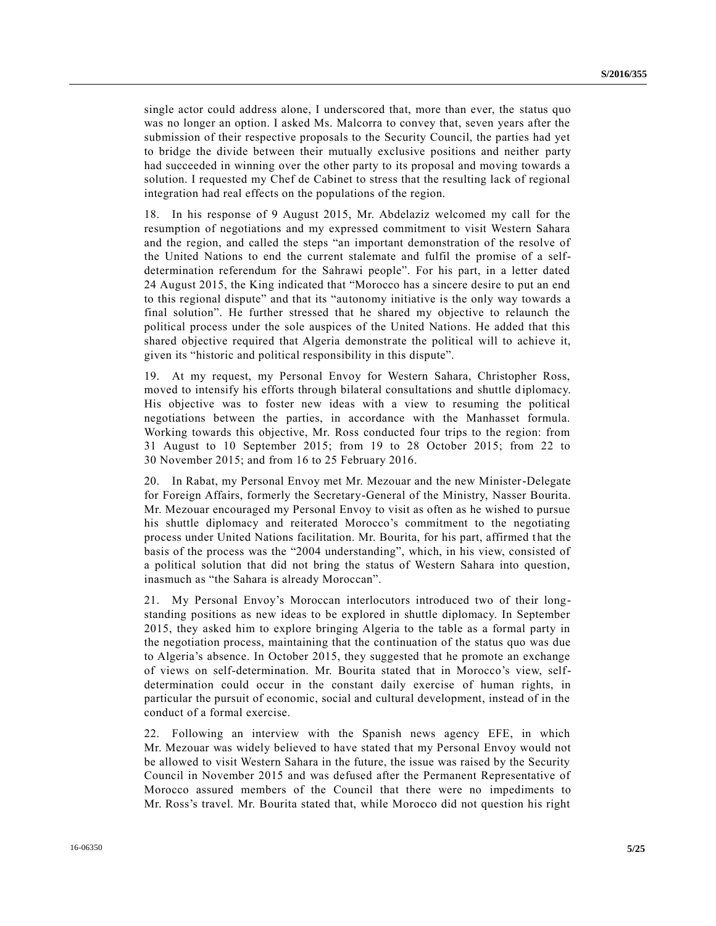single actor could address alone, I underscored that, more than ever, the status quo was no longer an option. I asked Ms. Malcorra to convey that, seven years after the submission of their respective proposals to the Security Council, the parties had yet to bridge the divide between their mutually exclusive positions and neither party had succeeded in winning over the other party to its proposal and moving towards a solution. I requested my Chef de Cabinet to stress that the resulting lack of regional integration had real effects on the populations of the region.

18. In his response of 9 August 2015, Mr. Abdelaziz welcomed my call for the resumption of negotiations and my expressed commitment to visit Western Sahara and the region, and called the steps "an important demonstration of the resolve of the United Nations to end the current stalemate and fulfil the promise of a selfdetermination referendum for the Sahrawi people". For his part, in a letter dated 24 August 2015, the King indicated that "Morocco has a sincere desire to put an end to this regional dispute" and that its "autonomy initiative is the only way towards a final solution". He further stressed that he shared my objective to relaunch the political process under the sole auspices of the United Nations. He added that this shared objective required that Algeria demonstrate the political will to achieve it, given its "historic and political responsibility in this dispute".

19. At my request, my Personal Envoy for Western Sahara, Christopher Ross, moved to intensify his efforts through bilateral consultations and shuttle diplomacy. His objective was to foster new ideas with a view to resuming the political negotiations between the parties, in accordance with the Manhasset formula. Working towards this objective, Mr. Ross conducted four trips to the region: from 31 August to 10 September 2015; from 19 to 28 October 2015; from 22 to 30 November 2015; and from 16 to 25 February 2016.

20. In Rabat, my Personal Envoy met Mr. Mezouar and the new Minister-Delegate for Foreign Affairs, formerly the Secretary-General of the Ministry, Nasser Bourita. Mr. Mezouar encouraged my Personal Envoy to visit as often as he wished to pursue his shuttle diplomacy and reiterated Morocco's commitment to the negotiating process under United Nations facilitation. Mr. Bourita, for his part, affirmed t hat the basis of the process was the "2004 understanding", which, in his view, consisted of a political solution that did not bring the status of Western Sahara into question, inasmuch as "the Sahara is already Moroccan".

21. My Personal Envoy's Moroccan interlocutors introduced two of their longstanding positions as new ideas to be explored in shuttle diplomacy. In September 2015, they asked him to explore bringing Algeria to the table as a formal party in the negotiation process, maintaining that the continuation of the status quo was due to Algeria's absence. In October 2015, they suggested that he promote an exchange of views on self-determination. Mr. Bourita stated that in Morocco's view, selfdetermination could occur in the constant daily exercise of human rights, in particular the pursuit of economic, social and cultural development, instead of in the conduct of a formal exercise.

22. Following an interview with the Spanish news agency EFE, in which Mr. Mezouar was widely believed to have stated that my Personal Envoy would not be allowed to visit Western Sahara in the future, the issue was raised by the Security Council in November 2015 and was defused after the Permanent Representative of Morocco assured members of the Council that there were no impediments to Mr. Ross's travel. Mr. Bourita stated that, while Morocco did not question his right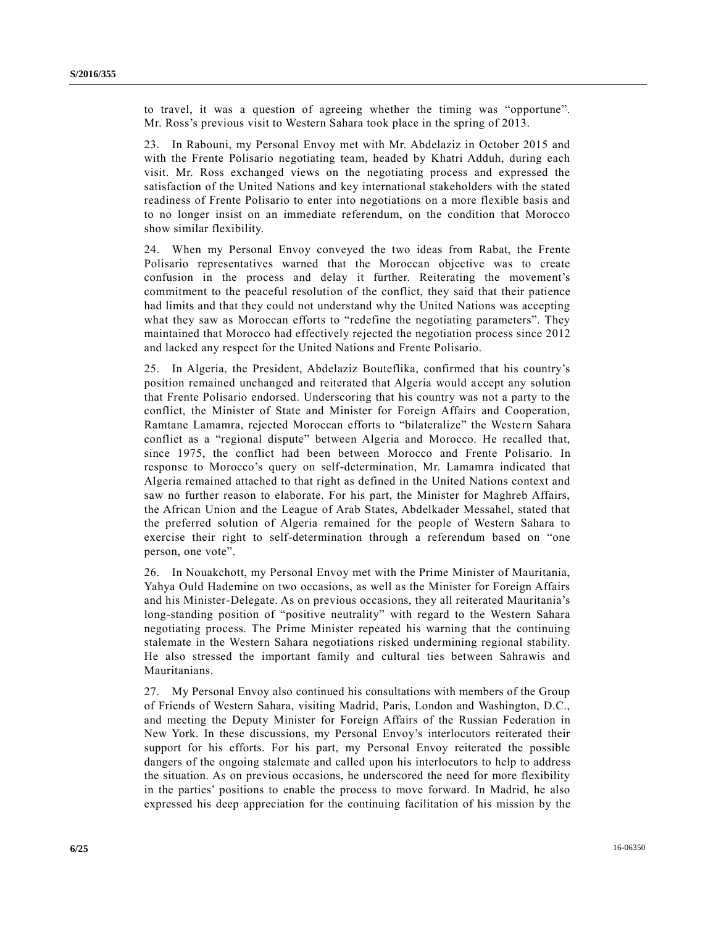to travel, it was a question of agreeing whether the timing was "opportune". Mr. Ross's previous visit to Western Sahara took place in the spring of 2013.

23. In Rabouni, my Personal Envoy met with Mr. Abdelaziz in October 2015 and with the Frente Polisario negotiating team, headed by Khatri Adduh, during each visit. Mr. Ross exchanged views on the negotiating process and expressed the satisfaction of the United Nations and key international stakeholders with the stated readiness of Frente Polisario to enter into negotiations on a more flexible basis and to no longer insist on an immediate referendum, on the condition that Morocco show similar flexibility.

24. When my Personal Envoy conveyed the two ideas from Rabat, the Frente Polisario representatives warned that the Moroccan objective was to create confusion in the process and delay it further. Reiterating the movement's commitment to the peaceful resolution of the conflict, they said that their patience had limits and that they could not understand why the United Nations was accepting what they saw as Moroccan efforts to "redefine the negotiating parameters". They maintained that Morocco had effectively rejected the negotiation process since 2012 and lacked any respect for the United Nations and Frente Polisario.

25. In Algeria, the President, Abdelaziz Bouteflika, confirmed that his country's position remained unchanged and reiterated that Algeria would a ccept any solution that Frente Polisario endorsed. Underscoring that his country was not a party to the conflict, the Minister of State and Minister for Foreign Affairs and Cooperation, Ramtane Lamamra, rejected Moroccan efforts to "bilateralize" the Western Sahara conflict as a "regional dispute" between Algeria and Morocco. He recalled that, since 1975, the conflict had been between Morocco and Frente Polisario. In response to Morocco's query on self-determination, Mr. Lamamra indicated that Algeria remained attached to that right as defined in the United Nations context and saw no further reason to elaborate. For his part, the Minister for Maghreb Affairs, the African Union and the League of Arab States, Abdelkader Messahel, stated that the preferred solution of Algeria remained for the people of Western Sahara to exercise their right to self-determination through a referendum based on "one person, one vote".

26. In Nouakchott, my Personal Envoy met with the Prime Minister of Mauritania, Yahya Ould Hademine on two occasions, as well as the Minister for Foreign Affairs and his Minister-Delegate. As on previous occasions, they all reiterated Mauritania's long-standing position of "positive neutrality" with regard to the Western Sahara negotiating process. The Prime Minister repeated his warning that the continuing stalemate in the Western Sahara negotiations risked undermining regional stability. He also stressed the important family and cultural ties between Sahrawis and Mauritanians.

27. My Personal Envoy also continued his consultations with members of the Group of Friends of Western Sahara, visiting Madrid, Paris, London and Washington, D.C., and meeting the Deputy Minister for Foreign Affairs of the Russian Federation in New York. In these discussions, my Personal Envoy's interlocutors reiterated their support for his efforts. For his part, my Personal Envoy reiterated the possible dangers of the ongoing stalemate and called upon his interlocutors to help to address the situation. As on previous occasions, he underscored the need for more flexibility in the parties' positions to enable the process to move forward. In Madrid, he also expressed his deep appreciation for the continuing facilitation of his mission by the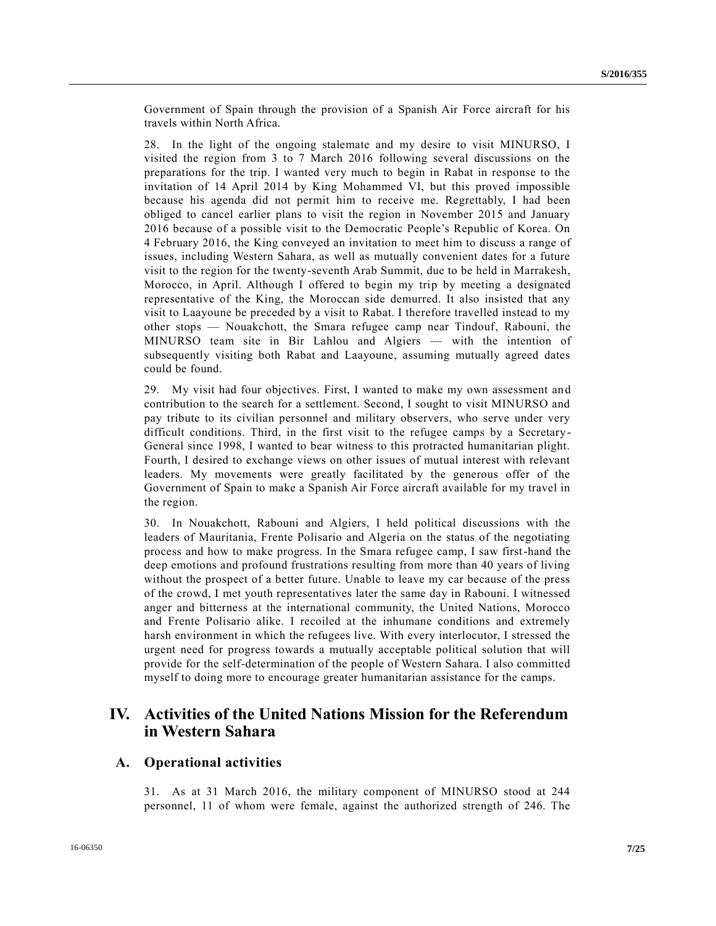Government of Spain through the provision of a Spanish Air Force aircraft for his travels within North Africa.

28. In the light of the ongoing stalemate and my desire to visit MINURSO, I visited the region from 3 to 7 March 2016 following several discussions on the preparations for the trip. I wanted very much to begin in Rabat in response to the invitation of 14 April 2014 by King Mohammed VI, but this proved impossible because his agenda did not permit him to receive me. Regrettably, I had been obliged to cancel earlier plans to visit the region in November 2015 and January 2016 because of a possible visit to the Democratic People's Republic of Korea. On 4 February 2016, the King conveyed an invitation to meet him to discuss a range of issues, including Western Sahara, as well as mutually convenient dates for a future visit to the region for the twenty-seventh Arab Summit, due to be held in Marrakesh, Morocco, in April. Although I offered to begin my trip by meeting a designated representative of the King, the Moroccan side demurred. It also insisted that any visit to Laayoune be preceded by a visit to Rabat. I therefore travelled instead to my other stops — Nouakchott, the Smara refugee camp near Tindouf, Rabouni, the MINURSO team site in Bir Lahlou and Algiers — with the intention of subsequently visiting both Rabat and Laayoune, assuming mutually agreed dates could be found.

29. My visit had four objectives. First, I wanted to make my own assessment and contribution to the search for a settlement. Second, I sought to visit MINURSO and pay tribute to its civilian personnel and military observers, who serve under very difficult conditions. Third, in the first visit to the refugee camps by a Secretary - General since 1998, I wanted to bear witness to this protracted humanitarian plight. Fourth, I desired to exchange views on other issues of mutual interest with relevant leaders. My movements were greatly facilitated by the generous offer of the Government of Spain to make a Spanish Air Force aircraft available for my travel in the region.

30. In Nouakchott, Rabouni and Algiers, I held political discussions with the leaders of Mauritania, Frente Polisario and Algeria on the status of the negotiating process and how to make progress. In the Smara refugee camp, I saw first-hand the deep emotions and profound frustrations resulting from more than 40 years of living without the prospect of a better future. Unable to leave my car because of the press of the crowd, I met youth representatives later the same day in Rabouni. I witnessed anger and bitterness at the international community, the United Nations, Morocco and Frente Polisario alike. I recoiled at the inhumane conditions and extremely harsh environment in which the refugees live. With every interlocutor, I stressed the urgent need for progress towards a mutually acceptable political solution that will provide for the self-determination of the people of Western Sahara. I also committed myself to doing more to encourage greater humanitarian assistance for the camps.

### **IV. Activities of the United Nations Mission for the Referendum in Western Sahara**

#### **A. Operational activities**

31. As at 31 March 2016, the military component of MINURSO stood at 244 personnel, 11 of whom were female, against the authorized strength of 246. The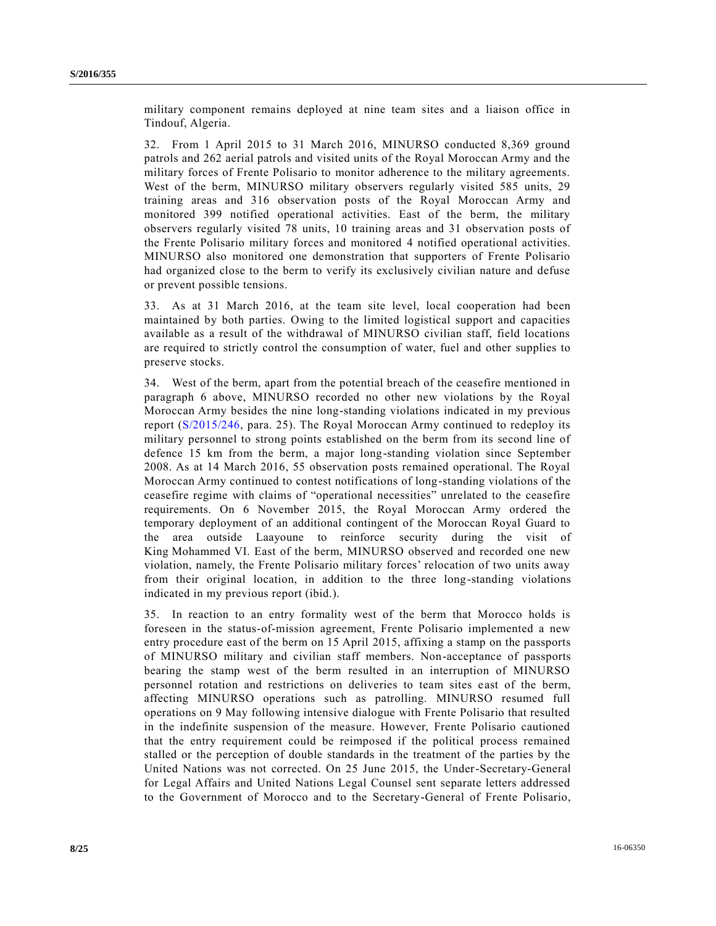military component remains deployed at nine team sites and a liaison office in Tindouf, Algeria.

32. From 1 April 2015 to 31 March 2016, MINURSO conducted 8,369 ground patrols and 262 aerial patrols and visited units of the Royal Moroccan Army and the military forces of Frente Polisario to monitor adherence to the military agreements. West of the berm, MINURSO military observers regularly visited 585 units, 29 training areas and 316 observation posts of the Royal Moroccan Army and monitored 399 notified operational activities. East of the berm, the military observers regularly visited 78 units, 10 training areas and 31 observation posts of the Frente Polisario military forces and monitored 4 notified operational activities. MINURSO also monitored one demonstration that supporters of Frente Polisario had organized close to the berm to verify its exclusively civilian nature and defuse or prevent possible tensions.

33. As at 31 March 2016, at the team site level, local cooperation had been maintained by both parties. Owing to the limited logistical support and capacities available as a result of the withdrawal of MINURSO civilian staff, field locations are required to strictly control the consumption of water, fuel and other supplies to preserve stocks.

34. West of the berm, apart from the potential breach of the ceasefire mentioned in paragraph 6 above, MINURSO recorded no other new violations by the Royal Moroccan Army besides the nine long-standing violations indicated in my previous report [\(S/2015/246,](http://undocs.org/S/2015/246) para. 25). The Royal Moroccan Army continued to redeploy its military personnel to strong points established on the berm from its second line of defence 15 km from the berm, a major long-standing violation since September 2008. As at 14 March 2016, 55 observation posts remained operational. The Royal Moroccan Army continued to contest notifications of long-standing violations of the ceasefire regime with claims of "operational necessities" unrelated to the ceasefire requirements. On 6 November 2015, the Royal Moroccan Army ordered the temporary deployment of an additional contingent of the Moroccan Royal Guard to the area outside Laayoune to reinforce security during the visit of King Mohammed VI. East of the berm, MINURSO observed and recorded one new violation, namely, the Frente Polisario military forces' relocation of two units away from their original location, in addition to the three long-standing violations indicated in my previous report (ibid.).

35. In reaction to an entry formality west of the berm that Morocco holds is foreseen in the status-of-mission agreement, Frente Polisario implemented a new entry procedure east of the berm on 15 April 2015, affixing a stamp on the passports of MINURSO military and civilian staff members. Non-acceptance of passports bearing the stamp west of the berm resulted in an interruption of MINURSO personnel rotation and restrictions on deliveries to team sites e ast of the berm, affecting MINURSO operations such as patrolling. MINURSO resumed full operations on 9 May following intensive dialogue with Frente Polisario that resulted in the indefinite suspension of the measure. However, Frente Polisario cautioned that the entry requirement could be reimposed if the political process remained stalled or the perception of double standards in the treatment of the parties by the United Nations was not corrected. On 25 June 2015, the Under-Secretary-General for Legal Affairs and United Nations Legal Counsel sent separate letters addressed to the Government of Morocco and to the Secretary-General of Frente Polisario,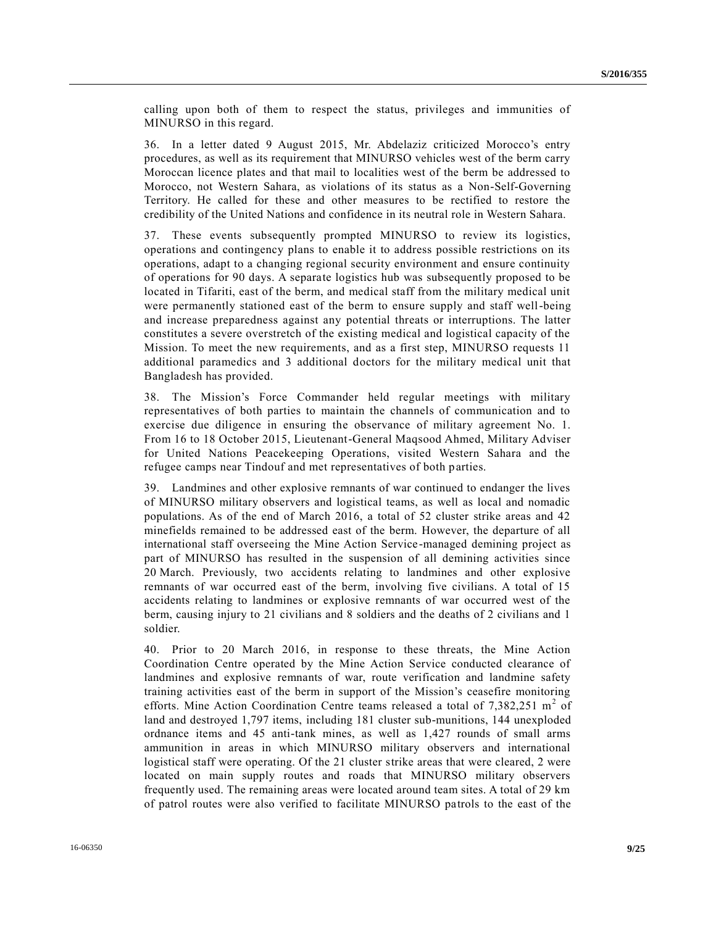calling upon both of them to respect the status, privileges and immunities of MINURSO in this regard.

36. In a letter dated 9 August 2015, Mr. Abdelaziz criticized Morocco's entry procedures, as well as its requirement that MINURSO vehicles west of the berm carry Moroccan licence plates and that mail to localities west of the berm be addressed to Morocco, not Western Sahara, as violations of its status as a Non-Self-Governing Territory. He called for these and other measures to be rectified to restore the credibility of the United Nations and confidence in its neutral role in Western Sahara.

37. These events subsequently prompted MINURSO to review its logistics, operations and contingency plans to enable it to address possible restrictions on its operations, adapt to a changing regional security environment and ensure continuity of operations for 90 days. A separate logistics hub was subsequently proposed to be located in Tifariti, east of the berm, and medical staff from the military medical unit were permanently stationed east of the berm to ensure supply and staff well-being and increase preparedness against any potential threats or interruptions. The latter constitutes a severe overstretch of the existing medical and logistical capacity of the Mission. To meet the new requirements, and as a first step, MINURSO requests 11 additional paramedics and 3 additional doctors for the military medical unit that Bangladesh has provided.

38. The Mission's Force Commander held regular meetings with military representatives of both parties to maintain the channels of communication and to exercise due diligence in ensuring the observance of military agreement No. 1. From 16 to 18 October 2015, Lieutenant-General Maqsood Ahmed, Military Adviser for United Nations Peacekeeping Operations, visited Western Sahara and the refugee camps near Tindouf and met representatives of both parties.

39. Landmines and other explosive remnants of war continued to endanger the lives of MINURSO military observers and logistical teams, as well as local and nomadic populations. As of the end of March 2016, a total of 52 cluster strike areas and 42 minefields remained to be addressed east of the berm. However, the departure of all international staff overseeing the Mine Action Service-managed demining project as part of MINURSO has resulted in the suspension of all demining activities since 20 March. Previously, two accidents relating to landmines and other explosive remnants of war occurred east of the berm, involving five civilians. A total of 15 accidents relating to landmines or explosive remnants of war occurred west of the berm, causing injury to 21 civilians and 8 soldiers and the deaths of 2 civilians and 1 soldier.

40. Prior to 20 March 2016, in response to these threats, the Mine Action Coordination Centre operated by the Mine Action Service conducted clearance of landmines and explosive remnants of war, route verification and landmine safety training activities east of the berm in support of the Mission's ceasefire monitoring efforts. Mine Action Coordination Centre teams released a total of  $7,382,251$  m<sup>2</sup> of land and destroyed 1,797 items, including 181 cluster sub-munitions, 144 unexploded ordnance items and 45 anti-tank mines, as well as 1,427 rounds of small arms ammunition in areas in which MINURSO military observers and international logistical staff were operating. Of the 21 cluster strike areas that were cleared, 2 were located on main supply routes and roads that MINURSO military observers frequently used. The remaining areas were located around team sites. A total of 29 km of patrol routes were also verified to facilitate MINURSO patrols to the east of the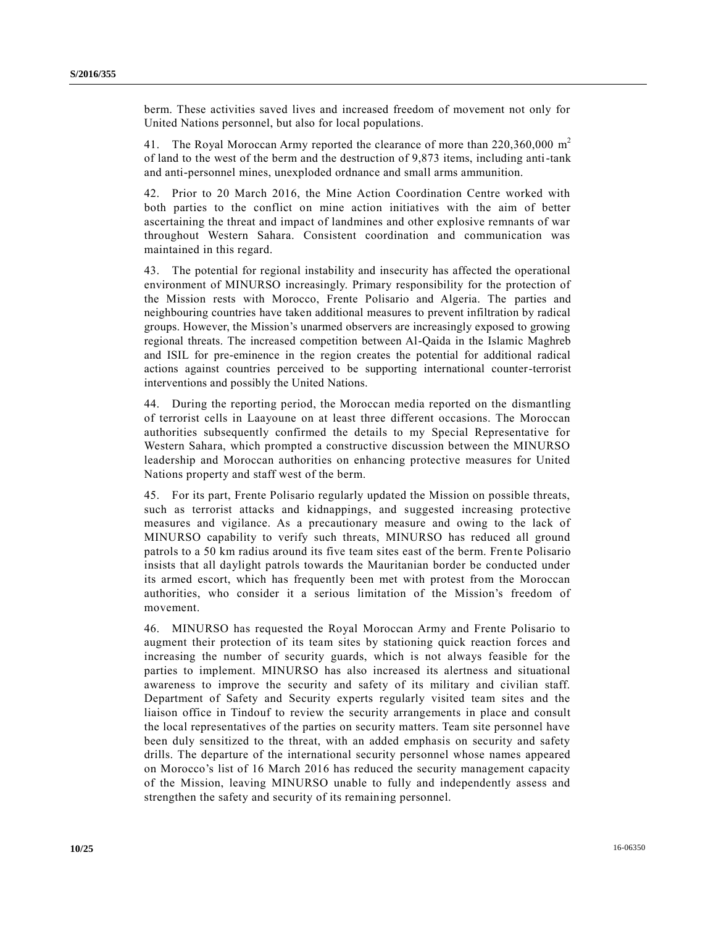berm. These activities saved lives and increased freedom of movement not only for United Nations personnel, but also for local populations.

41. The Royal Moroccan Army reported the clearance of more than  $220,360,000$  m<sup>2</sup> of land to the west of the berm and the destruction of 9,873 items, including anti-tank and anti-personnel mines, unexploded ordnance and small arms ammunition.

42. Prior to 20 March 2016, the Mine Action Coordination Centre worked with both parties to the conflict on mine action initiatives with the aim of better ascertaining the threat and impact of landmines and other explosive remnants of war throughout Western Sahara. Consistent coordination and communication was maintained in this regard.

43. The potential for regional instability and insecurity has affected the operational environment of MINURSO increasingly. Primary responsibility for the protection of the Mission rests with Morocco, Frente Polisario and Algeria. The parties and neighbouring countries have taken additional measures to prevent infiltration by radical groups. However, the Mission's unarmed observers are increasingly exposed to growing regional threats. The increased competition between Al-Qaida in the Islamic Maghreb and ISIL for pre-eminence in the region creates the potential for additional radical actions against countries perceived to be supporting international counter-terrorist interventions and possibly the United Nations.

44. During the reporting period, the Moroccan media reported on the dismantling of terrorist cells in Laayoune on at least three different occasions. The Moroccan authorities subsequently confirmed the details to my Special Representative for Western Sahara, which prompted a constructive discussion between the MINURSO leadership and Moroccan authorities on enhancing protective measures for United Nations property and staff west of the berm.

45. For its part, Frente Polisario regularly updated the Mission on possible threats, such as terrorist attacks and kidnappings, and suggested increasing protective measures and vigilance. As a precautionary measure and owing to the lack of MINURSO capability to verify such threats, MINURSO has reduced all ground patrols to a 50 km radius around its five team sites east of the berm. Frente Polisario insists that all daylight patrols towards the Mauritanian border be conducted under its armed escort, which has frequently been met with protest from the Moroccan authorities, who consider it a serious limitation of the Mission's freedom of movement.

46. MINURSO has requested the Royal Moroccan Army and Frente Polisario to augment their protection of its team sites by stationing quick reaction forces and increasing the number of security guards, which is not always feasible for the parties to implement. MINURSO has also increased its alertness and situational awareness to improve the security and safety of its military and civilian staff. Department of Safety and Security experts regularly visited team sites and the liaison office in Tindouf to review the security arrangements in place and consult the local representatives of the parties on security matters. Team site personnel have been duly sensitized to the threat, with an added emphasis on security and safety drills. The departure of the international security personnel whose names appeared on Morocco's list of 16 March 2016 has reduced the security management capacity of the Mission, leaving MINURSO unable to fully and independently assess and strengthen the safety and security of its remaining personnel.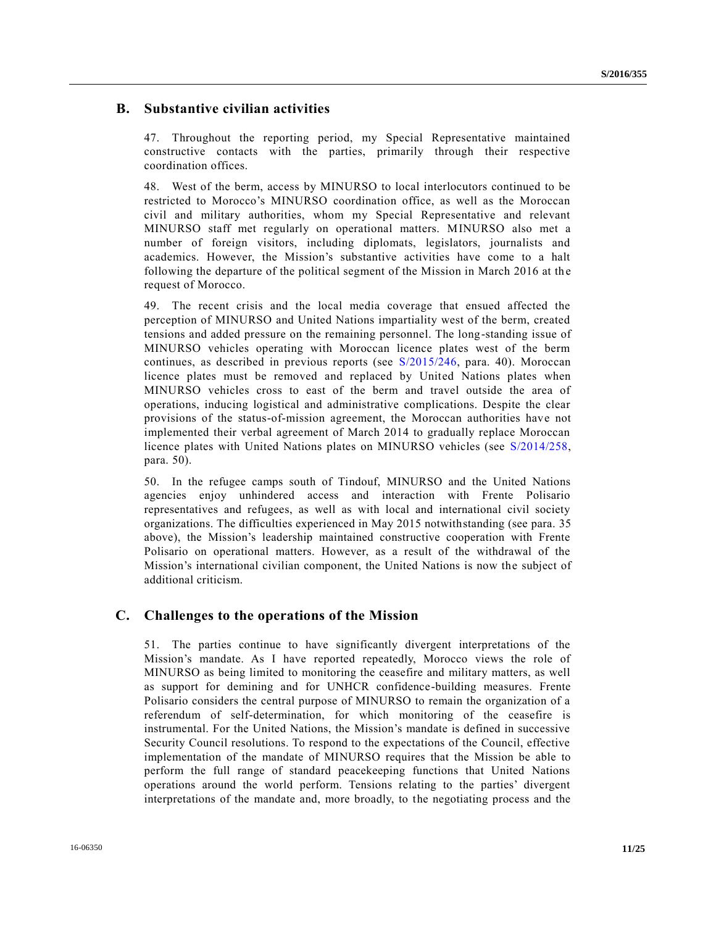#### **B. Substantive civilian activities**

47. Throughout the reporting period, my Special Representative maintained constructive contacts with the parties, primarily through their respective coordination offices.

48. West of the berm, access by MINURSO to local interlocutors continued to be restricted to Morocco's MINURSO coordination office, as well as the Moroccan civil and military authorities, whom my Special Representative and relevant MINURSO staff met regularly on operational matters. MINURSO also met a number of foreign visitors, including diplomats, legislators, journalists and academics. However, the Mission's substantive activities have come to a halt following the departure of the political segment of the Mission in March 2016 at the request of Morocco.

49. The recent crisis and the local media coverage that ensued affected the perception of MINURSO and United Nations impartiality west of the berm, created tensions and added pressure on the remaining personnel. The long-standing issue of MINURSO vehicles operating with Moroccan licence plates west of the berm continues, as described in previous reports (see [S/2015/246,](http://undocs.org/S/2015/246) para. 40). Moroccan licence plates must be removed and replaced by United Nations plates when MINURSO vehicles cross to east of the berm and travel outside the area of operations, inducing logistical and administrative complications. Despite the clear provisions of the status-of-mission agreement, the Moroccan authorities have not implemented their verbal agreement of March 2014 to gradually replace Moroccan licence plates with United Nations plates on MINURSO vehicles (see [S/2014/258,](http://undocs.org/S/2014/258) para. 50).

50. In the refugee camps south of Tindouf, MINURSO and the United Nations agencies enjoy unhindered access and interaction with Frente Polisario representatives and refugees, as well as with local and international civil society organizations. The difficulties experienced in May 2015 notwithstanding (see para. 35 above), the Mission's leadership maintained constructive cooperation with Frente Polisario on operational matters. However, as a result of the withdrawal of the Mission's international civilian component, the United Nations is now the subject of additional criticism.

#### **C. Challenges to the operations of the Mission**

51. The parties continue to have significantly divergent interpretations of the Mission's mandate. As I have reported repeatedly, Morocco views the role of MINURSO as being limited to monitoring the ceasefire and military matters, as well as support for demining and for UNHCR confidence-building measures. Frente Polisario considers the central purpose of MINURSO to remain the organization of a referendum of self-determination, for which monitoring of the ceasefire is instrumental. For the United Nations, the Mission's mandate is defined in successive Security Council resolutions. To respond to the expectations of the Council, effective implementation of the mandate of MINURSO requires that the Mission be able to perform the full range of standard peacekeeping functions that United Nations operations around the world perform. Tensions relating to the parties' divergent interpretations of the mandate and, more broadly, to the negotiating process and the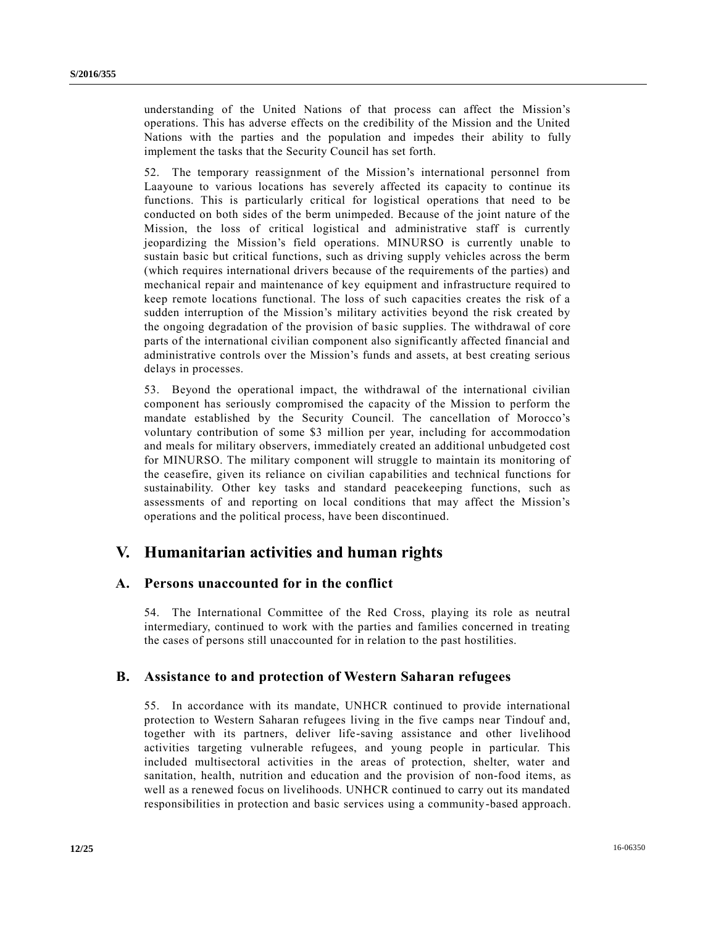understanding of the United Nations of that process can affect the Mission's operations. This has adverse effects on the credibility of the Mission and the United Nations with the parties and the population and impedes their ability to fully implement the tasks that the Security Council has set forth.

52. The temporary reassignment of the Mission's international personnel from Laayoune to various locations has severely affected its capacity to continue its functions. This is particularly critical for logistical operations that need to be conducted on both sides of the berm unimpeded. Because of the joint nature of the Mission, the loss of critical logistical and administrative staff is currently jeopardizing the Mission's field operations. MINURSO is currently unable to sustain basic but critical functions, such as driving supply vehicles across the berm (which requires international drivers because of the requirements of the parties) and mechanical repair and maintenance of key equipment and infrastructure required to keep remote locations functional. The loss of such capacities creates the risk of a sudden interruption of the Mission's military activities beyond the risk created by the ongoing degradation of the provision of basic supplies. The withdrawal of core parts of the international civilian component also significantly affected financial and administrative controls over the Mission's funds and assets, at best creating serious delays in processes.

53. Beyond the operational impact, the withdrawal of the international civilian component has seriously compromised the capacity of the Mission to perform the mandate established by the Security Council. The cancellation of Morocco's voluntary contribution of some \$3 million per year, including for accommodation and meals for military observers, immediately created an additional unbudgeted cost for MINURSO. The military component will struggle to maintain its monitoring of the ceasefire, given its reliance on civilian capabilities and technical functions for sustainability. Other key tasks and standard peacekeeping functions, such as assessments of and reporting on local conditions that may affect the Mission's operations and the political process, have been discontinued.

### **V. Humanitarian activities and human rights**

#### **A. Persons unaccounted for in the conflict**

54. The International Committee of the Red Cross, playing its role as neutral intermediary, continued to work with the parties and families concerned in treating the cases of persons still unaccounted for in relation to the past hostilities.

#### **B. Assistance to and protection of Western Saharan refugees**

55. In accordance with its mandate, UNHCR continued to provide international protection to Western Saharan refugees living in the five camps near Tindouf and, together with its partners, deliver life-saving assistance and other livelihood activities targeting vulnerable refugees, and young people in particular. This included multisectoral activities in the areas of protection, shelter, water and sanitation, health, nutrition and education and the provision of non-food items, as well as a renewed focus on livelihoods. UNHCR continued to carry out its mandated responsibilities in protection and basic services using a community-based approach.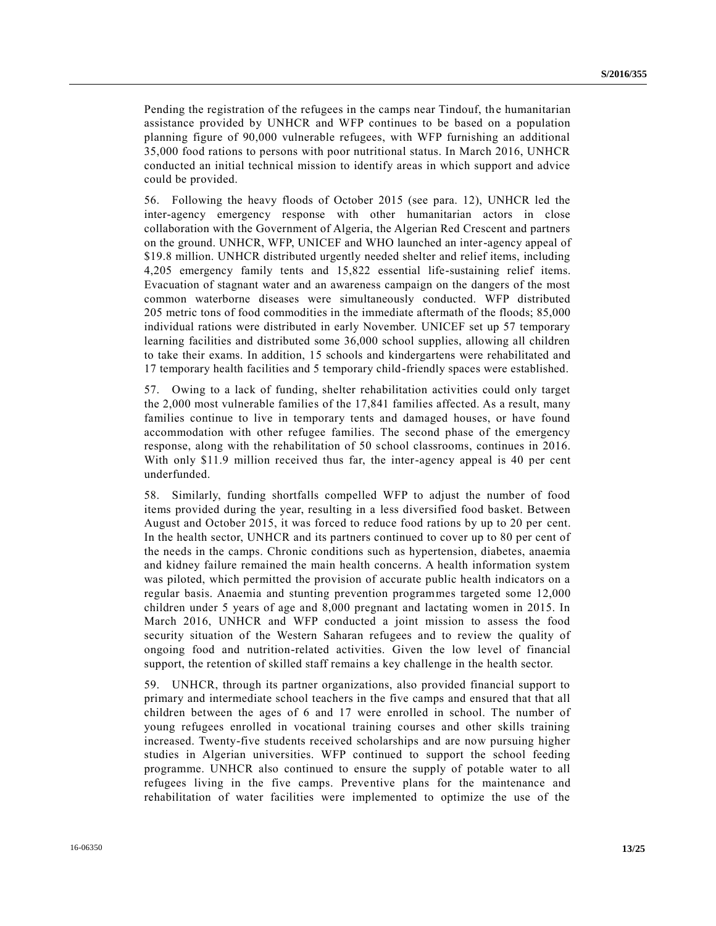Pending the registration of the refugees in the camps near Tindouf, the humanitarian assistance provided by UNHCR and WFP continues to be based on a population planning figure of 90,000 vulnerable refugees, with WFP furnishing an additional 35,000 food rations to persons with poor nutritional status. In March 2016, UNHCR conducted an initial technical mission to identify areas in which support and advice could be provided.

56. Following the heavy floods of October 2015 (see para. 12), UNHCR led the inter-agency emergency response with other humanitarian actors in close collaboration with the Government of Algeria, the Algerian Red Crescent and partners on the ground. UNHCR, WFP, UNICEF and WHO launched an inter-agency appeal of \$19.8 million. UNHCR distributed urgently needed shelter and relief items, including 4,205 emergency family tents and 15,822 essential life-sustaining relief items. Evacuation of stagnant water and an awareness campaign on the dangers of the most common waterborne diseases were simultaneously conducted. WFP distributed 205 metric tons of food commodities in the immediate aftermath of the floods; 85,000 individual rations were distributed in early November. UNICEF set up 57 temporary learning facilities and distributed some 36,000 school supplies, allowing all children to take their exams. In addition, 15 schools and kindergartens were rehabilitated and 17 temporary health facilities and 5 temporary child-friendly spaces were established.

57. Owing to a lack of funding, shelter rehabilitation activities could only target the 2,000 most vulnerable families of the 17,841 families affected. As a result, many families continue to live in temporary tents and damaged houses, or have found accommodation with other refugee families. The second phase of the emergency response, along with the rehabilitation of 50 school classrooms, continues in 2016. With only \$11.9 million received thus far, the inter-agency appeal is 40 per cent underfunded.

58. Similarly, funding shortfalls compelled WFP to adjust the number of food items provided during the year, resulting in a less diversified food basket. Between August and October 2015, it was forced to reduce food rations by up to 20 per cent. In the health sector, UNHCR and its partners continued to cover up to 80 per cent of the needs in the camps. Chronic conditions such as hypertension, diabetes, anaemia and kidney failure remained the main health concerns. A health information system was piloted, which permitted the provision of accurate public health indicators on a regular basis. Anaemia and stunting prevention programmes targeted some 12,000 children under 5 years of age and 8,000 pregnant and lactating women in 2015. In March 2016, UNHCR and WFP conducted a joint mission to assess the food security situation of the Western Saharan refugees and to review the quality of ongoing food and nutrition-related activities. Given the low level of financial support, the retention of skilled staff remains a key challenge in the health sector.

59. UNHCR, through its partner organizations, also provided financial support to primary and intermediate school teachers in the five camps and ensured that that all children between the ages of 6 and 17 were enrolled in school. The number of young refugees enrolled in vocational training courses and other skills training increased. Twenty-five students received scholarships and are now pursuing higher studies in Algerian universities. WFP continued to support the school feeding programme. UNHCR also continued to ensure the supply of potable water to all refugees living in the five camps. Preventive plans for the maintenance and rehabilitation of water facilities were implemented to optimize the use of the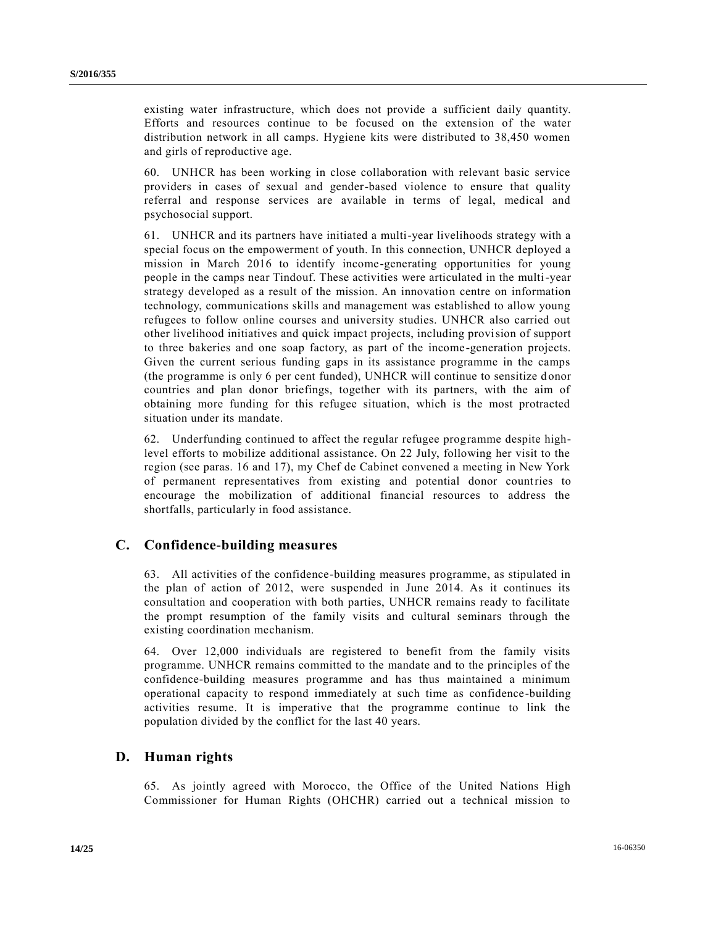existing water infrastructure, which does not provide a sufficient daily quantity. Efforts and resources continue to be focused on the extension of the water distribution network in all camps. Hygiene kits were distributed to 38,450 women and girls of reproductive age.

60. UNHCR has been working in close collaboration with relevant basic service providers in cases of sexual and gender-based violence to ensure that quality referral and response services are available in terms of legal, medical and psychosocial support.

61. UNHCR and its partners have initiated a multi-year livelihoods strategy with a special focus on the empowerment of youth. In this connection, UNHCR deployed a mission in March 2016 to identify income-generating opportunities for young people in the camps near Tindouf. These activities were articulated in the multi-year strategy developed as a result of the mission. An innovation centre on information technology, communications skills and management was established to allow young refugees to follow online courses and university studies. UNHCR also carried out other livelihood initiatives and quick impact projects, including provision of support to three bakeries and one soap factory, as part of the income -generation projects. Given the current serious funding gaps in its assistance programme in the camps (the programme is only 6 per cent funded), UNHCR will continue to sensitize d onor countries and plan donor briefings, together with its partners, with the aim of obtaining more funding for this refugee situation, which is the most protracted situation under its mandate.

62. Underfunding continued to affect the regular refugee programme despite highlevel efforts to mobilize additional assistance. On 22 July, following her visit to the region (see paras. 16 and 17), my Chef de Cabinet convened a meeting in New York of permanent representatives from existing and potential donor countries to encourage the mobilization of additional financial resources to address the shortfalls, particularly in food assistance.

#### **C. Confidence-building measures**

63. All activities of the confidence-building measures programme, as stipulated in the plan of action of 2012, were suspended in June 2014. As it continues its consultation and cooperation with both parties, UNHCR remains ready to facilitate the prompt resumption of the family visits and cultural seminars through the existing coordination mechanism.

64. Over 12,000 individuals are registered to benefit from the family visits programme. UNHCR remains committed to the mandate and to the principles of the confidence-building measures programme and has thus maintained a minimum operational capacity to respond immediately at such time as confidence-building activities resume. It is imperative that the programme continue to link the population divided by the conflict for the last 40 years.

#### **D. Human rights**

65. As jointly agreed with Morocco, the Office of the United Nations High Commissioner for Human Rights (OHCHR) carried out a technical mission to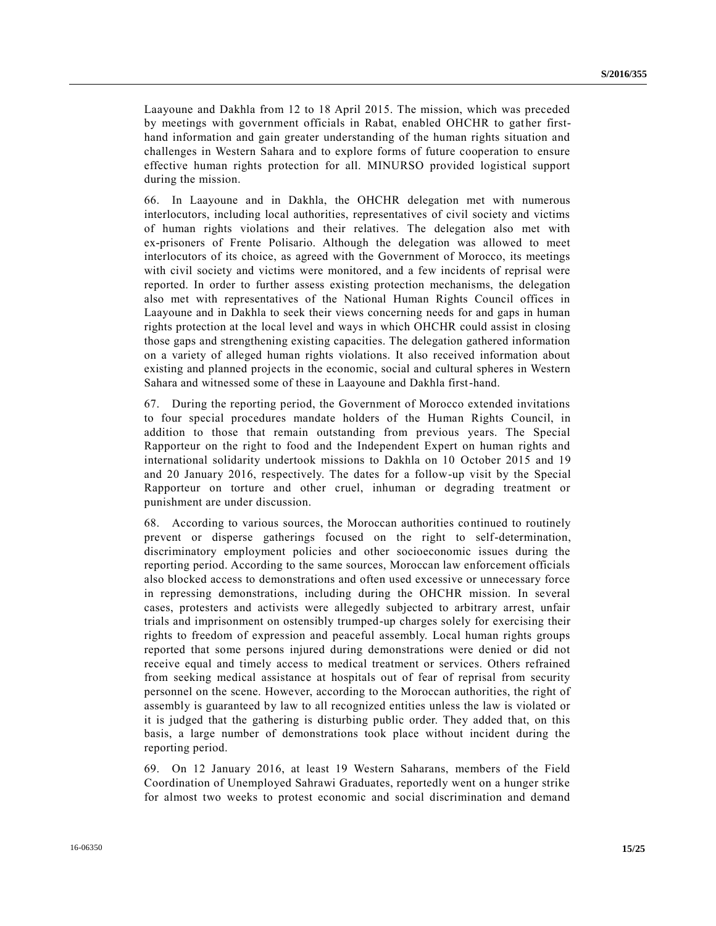Laayoune and Dakhla from 12 to 18 April 2015. The mission, which was preceded by meetings with government officials in Rabat, enabled OHCHR to gather firsthand information and gain greater understanding of the human rights situation and challenges in Western Sahara and to explore forms of future cooperation to ensure effective human rights protection for all. MINURSO provided logistical support during the mission.

66. In Laayoune and in Dakhla, the OHCHR delegation met with numerous interlocutors, including local authorities, representatives of civil society and victims of human rights violations and their relatives. The delegation also met with ex-prisoners of Frente Polisario. Although the delegation was allowed to meet interlocutors of its choice, as agreed with the Government of Morocco, its meetings with civil society and victims were monitored, and a few incidents of reprisal were reported. In order to further assess existing protection mechanisms, the delegation also met with representatives of the National Human Rights Council offices in Laayoune and in Dakhla to seek their views concerning needs for and gaps in human rights protection at the local level and ways in which OHCHR could assist in closing those gaps and strengthening existing capacities. The delegation gathered information on a variety of alleged human rights violations. It also received information about existing and planned projects in the economic, social and cultural spheres in Western Sahara and witnessed some of these in Laayoune and Dakhla first-hand.

67. During the reporting period, the Government of Morocco extended invitations to four special procedures mandate holders of the Human Rights Council, in addition to those that remain outstanding from previous years. The Special Rapporteur on the right to food and the Independent Expert on human rights and international solidarity undertook missions to Dakhla on 10 October 2015 and 19 and 20 January 2016, respectively. The dates for a follow-up visit by the Special Rapporteur on torture and other cruel, inhuman or degrading treatment or punishment are under discussion.

68. According to various sources, the Moroccan authorities continued to routinely prevent or disperse gatherings focused on the right to self-determination, discriminatory employment policies and other socioeconomic issues during the reporting period. According to the same sources, Moroccan law enforcement officials also blocked access to demonstrations and often used excessive or unnecessary force in repressing demonstrations, including during the OHCHR mission. In several cases, protesters and activists were allegedly subjected to arbitrary arrest, unfair trials and imprisonment on ostensibly trumped-up charges solely for exercising their rights to freedom of expression and peaceful assembly. Local human rights groups reported that some persons injured during demonstrations were denied or did not receive equal and timely access to medical treatment or services. Others refrained from seeking medical assistance at hospitals out of fear of reprisal from security personnel on the scene. However, according to the Moroccan authorities, the right of assembly is guaranteed by law to all recognized entities unless the law is violated or it is judged that the gathering is disturbing public order. They added that, on this basis, a large number of demonstrations took place without incident during the reporting period.

69. On 12 January 2016, at least 19 Western Saharans, members of the Field Coordination of Unemployed Sahrawi Graduates, reportedly went on a hunger strike for almost two weeks to protest economic and social discrimination and demand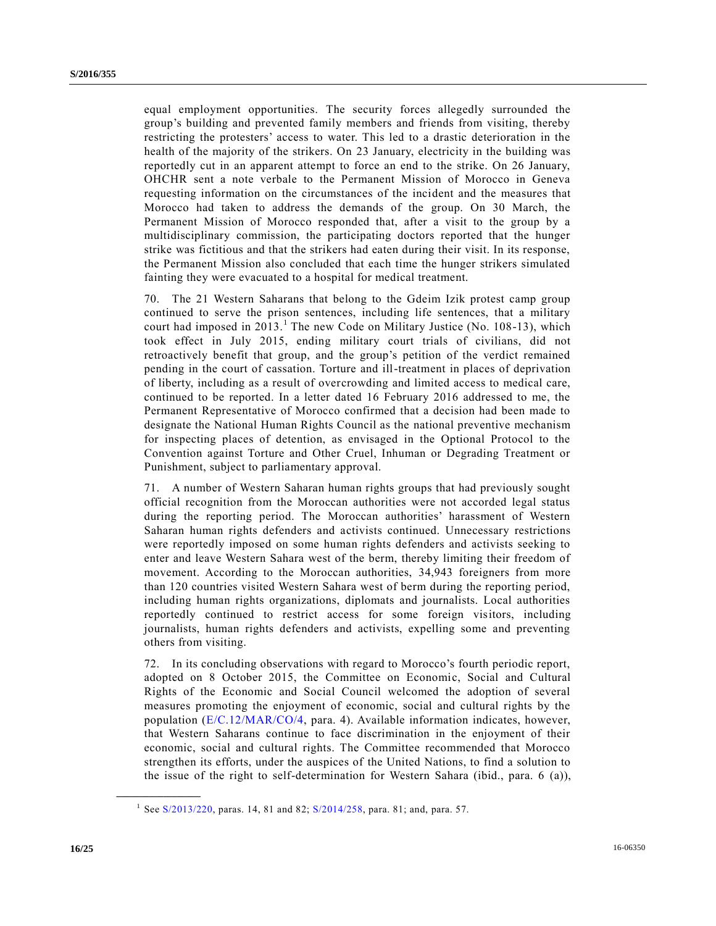equal employment opportunities. The security forces allegedly surrounded the group's building and prevented family members and friends from visiting, thereby restricting the protesters' access to water. This led to a drastic deterioration in the health of the majority of the strikers. On 23 January, electricity in the building was reportedly cut in an apparent attempt to force an end to the strike. On 26 January, OHCHR sent a note verbale to the Permanent Mission of Morocco in Geneva requesting information on the circumstances of the incident and the measures that Morocco had taken to address the demands of the group. On 30 March, the Permanent Mission of Morocco responded that, after a visit to the group by a multidisciplinary commission, the participating doctors reported that the hunger strike was fictitious and that the strikers had eaten during their visit. In its response, the Permanent Mission also concluded that each time the hunger strikers simulated fainting they were evacuated to a hospital for medical treatment.

70. The 21 Western Saharans that belong to the Gdeim Izik protest camp group continued to serve the prison sentences, including life sentences, that a military court had imposed in  $2013$ .<sup>1</sup> The new Code on Military Justice (No. 108-13), which took effect in July 2015, ending military court trials of civilians, did not retroactively benefit that group, and the group's petition of the verdict remained pending in the court of cassation. Torture and ill-treatment in places of deprivation of liberty, including as a result of overcrowding and limited access to medical care, continued to be reported. In a letter dated 16 February 2016 addressed to me, the Permanent Representative of Morocco confirmed that a decision had been made to designate the National Human Rights Council as the national preventive mechanism for inspecting places of detention, as envisaged in the Optional Protocol to the Convention against Torture and Other Cruel, Inhuman or Degrading Treatment or Punishment, subject to parliamentary approval.

71. A number of Western Saharan human rights groups that had previously sought official recognition from the Moroccan authorities were not accorded legal status during the reporting period. The Moroccan authorities' harassment of Western Saharan human rights defenders and activists continued. Unnecessary restrictions were reportedly imposed on some human rights defenders and activists seeking to enter and leave Western Sahara west of the berm, thereby limiting their freedom of movement. According to the Moroccan authorities, 34,943 foreigners from more than 120 countries visited Western Sahara west of berm during the reporting period, including human rights organizations, diplomats and journalists. Local authorities reportedly continued to restrict access for some foreign visitors, including journalists, human rights defenders and activists, expelling some and preventing others from visiting.

72. In its concluding observations with regard to Morocco's fourth periodic report, adopted on 8 October 2015, the Committee on Economic, Social and Cultural Rights of the Economic and Social Council welcomed the adoption of several measures promoting the enjoyment of economic, social and cultural rights by the population [\(E/C.12/MAR/CO/4,](http://undocs.org/E/C.12/MAR/CO/4) para. 4). Available information indicates, however, that Western Saharans continue to face discrimination in the enjoyment of their economic, social and cultural rights. The Committee recommended that Morocco strengthen its efforts, under the auspices of the United Nations, to find a solution to the issue of the right to self-determination for Western Sahara (ibid., para. 6 (a)),

**\_\_\_\_\_\_\_\_\_\_\_\_\_\_\_\_\_\_**

<sup>&</sup>lt;sup>1</sup> See [S/2013/220,](http://undocs.org/S/2013/220) paras. 14, 81 and 82; [S/2014/258,](http://undocs.org/S/2014/258) para. 81; and, para. 57.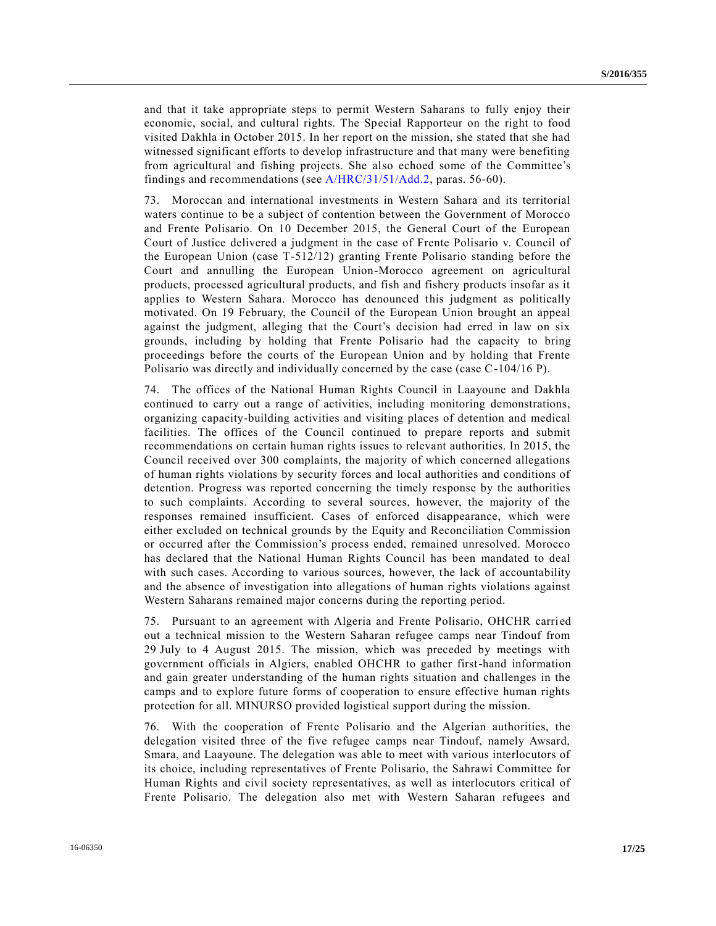and that it take appropriate steps to permit Western Saharans to fully enjoy their economic, social, and cultural rights. The Special Rapporteur on the right to food visited Dakhla in October 2015. In her report on the mission, she stated that she had witnessed significant efforts to develop infrastructure and that many were benefiting from agricultural and fishing projects. She also echoed some of the Committee's findings and recommendations (see [A/HRC/31/51/Add.2,](http://undocs.org/A/HRC/31/51/Add.2) paras. 56-60).

73. Moroccan and international investments in Western Sahara and its territorial waters continue to be a subject of contention between the Government of Morocco and Frente Polisario. On 10 December 2015, the General Court of the European Court of Justice delivered a judgment in the case of Frente Polisario v. Council of the European Union (case T-512/12) granting Frente Polisario standing before the Court and annulling the European Union-Morocco agreement on agricultural products, processed agricultural products, and fish and fishery products insofar as it applies to Western Sahara. Morocco has denounced this judgment as politically motivated. On 19 February, the Council of the European Union brought an appeal against the judgment, alleging that the Court's decision had erred in law on six grounds, including by holding that Frente Polisario had the capacity to bring proceedings before the courts of the European Union and by holding that Frente Polisario was directly and individually concerned by the case (case C-104/16 P).

74. The offices of the National Human Rights Council in Laayoune and Dakhla continued to carry out a range of activities, including monitoring demonstrations, organizing capacity-building activities and visiting places of detention and medical facilities. The offices of the Council continued to prepare reports and submit recommendations on certain human rights issues to relevant authorities. In 2015, the Council received over 300 complaints, the majority of which concerned allegations of human rights violations by security forces and local authorities and conditions of detention. Progress was reported concerning the timely response by the authorities to such complaints. According to several sources, however, the majority of the responses remained insufficient. Cases of enforced disappearance, which were either excluded on technical grounds by the Equity and Reconciliation Commission or occurred after the Commission's process ended, remained unresolved. Morocco has declared that the National Human Rights Council has been mandated to deal with such cases. According to various sources, however, the lack of accountability and the absence of investigation into allegations of human rights violations against Western Saharans remained major concerns during the reporting period.

75. Pursuant to an agreement with Algeria and Frente Polisario, OHCHR carri ed out a technical mission to the Western Saharan refugee camps near Tindouf from 29 July to 4 August 2015. The mission, which was preceded by meetings with government officials in Algiers, enabled OHCHR to gather first-hand information and gain greater understanding of the human rights situation and challenges in the camps and to explore future forms of cooperation to ensure effective human rights protection for all. MINURSO provided logistical support during the mission.

76. With the cooperation of Frente Polisario and the Algerian authorities, the delegation visited three of the five refugee camps near Tindouf, namely Awsard, Smara, and Laayoune. The delegation was able to meet with various interlocutors of its choice, including representatives of Frente Polisario, the Sahrawi Committee for Human Rights and civil society representatives, as well as interlocutors critical of Frente Polisario. The delegation also met with Western Saharan refugees and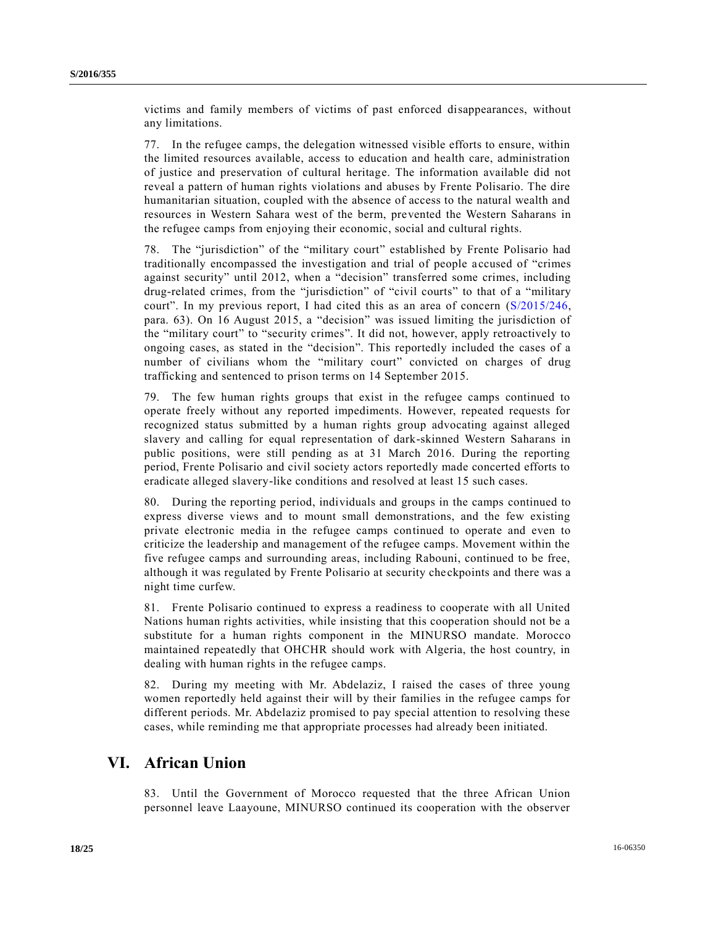victims and family members of victims of past enforced disappearances, without any limitations.

77. In the refugee camps, the delegation witnessed visible efforts to ensure, within the limited resources available, access to education and health care, administration of justice and preservation of cultural heritage. The information available did not reveal a pattern of human rights violations and abuses by Frente Polisario. The dire humanitarian situation, coupled with the absence of access to the natural wealth and resources in Western Sahara west of the berm, prevented the Western Saharans in the refugee camps from enjoying their economic, social and cultural rights.

The "jurisdiction" of the "military court" established by Frente Polisario had traditionally encompassed the investigation and trial of people accused of "crimes against security" until 2012, when a "decision" transferred some crimes, including drug-related crimes, from the "jurisdiction" of "civil courts" to that of a "military court". In my previous report, I had cited this as an area of concern [\(S/2015/246,](http://undocs.org/S/2015/246) para. 63). On 16 August 2015, a "decision" was issued limiting the jurisdiction of the "military court" to "security crimes". It did not, however, apply retroactively to ongoing cases, as stated in the "decision". This reportedly included the cases of a number of civilians whom the "military court" convicted on charges of drug trafficking and sentenced to prison terms on 14 September 2015.

79. The few human rights groups that exist in the refugee camps continued to operate freely without any reported impediments. However, repeated requests for recognized status submitted by a human rights group advocating against alleged slavery and calling for equal representation of dark-skinned Western Saharans in public positions, were still pending as at 31 March 2016. During the reporting period, Frente Polisario and civil society actors reportedly made concerted efforts to eradicate alleged slavery-like conditions and resolved at least 15 such cases.

80. During the reporting period, individuals and groups in the camps continued to express diverse views and to mount small demonstrations, and the few existing private electronic media in the refugee camps continued to operate and even to criticize the leadership and management of the refugee camps. Movement within the five refugee camps and surrounding areas, including Rabouni, continued to be free, although it was regulated by Frente Polisario at security checkpoints and there was a night time curfew.

81. Frente Polisario continued to express a readiness to cooperate with all United Nations human rights activities, while insisting that this cooperation should not be a substitute for a human rights component in the MINURSO mandate. Morocco maintained repeatedly that OHCHR should work with Algeria, the host country, in dealing with human rights in the refugee camps.

82. During my meeting with Mr. Abdelaziz, I raised the cases of three young women reportedly held against their will by their families in the refugee camps for different periods. Mr. Abdelaziz promised to pay special attention to resolving these cases, while reminding me that appropriate processes had already been initiated.

### **VI. African Union**

83. Until the Government of Morocco requested that the three African Union personnel leave Laayoune, MINURSO continued its cooperation with the observer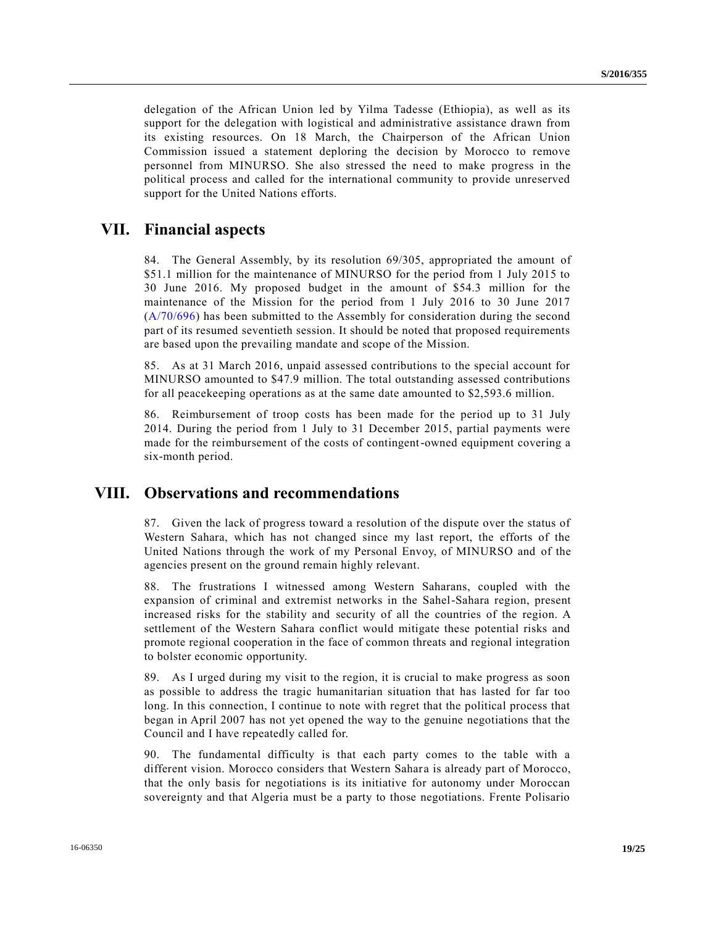delegation of the African Union led by Yilma Tadesse (Ethiopia), as well as its support for the delegation with logistical and administrative assistance drawn from its existing resources. On 18 March, the Chairperson of the African Union Commission issued a statement deploring the decision by Morocco to remove personnel from MINURSO. She also stressed the need to make progress in the political process and called for the international community to provide unreserved support for the United Nations efforts.

### **VII. Financial aspects**

84. The General Assembly, by its resolution 69/305, appropriated the amount of \$51.1 million for the maintenance of MINURSO for the period from 1 July 2015 to 30 June 2016. My proposed budget in the amount of \$54.3 million for the maintenance of the Mission for the period from 1 July 2016 to 30 June 2017 [\(A/70/696\)](http://undocs.org/A/70/696) has been submitted to the Assembly for consideration during the second part of its resumed seventieth session. It should be noted that proposed requirements are based upon the prevailing mandate and scope of the Mission.

85. As at 31 March 2016, unpaid assessed contributions to the special account for MINURSO amounted to \$47.9 million. The total outstanding assessed contributions for all peacekeeping operations as at the same date amounted to \$2,593.6 million.

86. Reimbursement of troop costs has been made for the period up to 31 July 2014. During the period from 1 July to 31 December 2015, partial payments were made for the reimbursement of the costs of contingent-owned equipment covering a six-month period.

### **VIII. Observations and recommendations**

87. Given the lack of progress toward a resolution of the dispute over the status of Western Sahara, which has not changed since my last report, the efforts of the United Nations through the work of my Personal Envoy, of MINURSO and of the agencies present on the ground remain highly relevant.

88. The frustrations I witnessed among Western Saharans, coupled with the expansion of criminal and extremist networks in the Sahel-Sahara region, present increased risks for the stability and security of all the countries of the region. A settlement of the Western Sahara conflict would mitigate these potential risks and promote regional cooperation in the face of common threats and regional integration to bolster economic opportunity.

89. As I urged during my visit to the region, it is crucial to make progress as soon as possible to address the tragic humanitarian situation that has lasted for far too long. In this connection, I continue to note with regret that the political process that began in April 2007 has not yet opened the way to the genuine negotiations that the Council and I have repeatedly called for.

90. The fundamental difficulty is that each party comes to the table with a different vision. Morocco considers that Western Sahara is already part of Morocco, that the only basis for negotiations is its initiative for autonomy under Moroccan sovereignty and that Algeria must be a party to those negotiations. Frente Polisario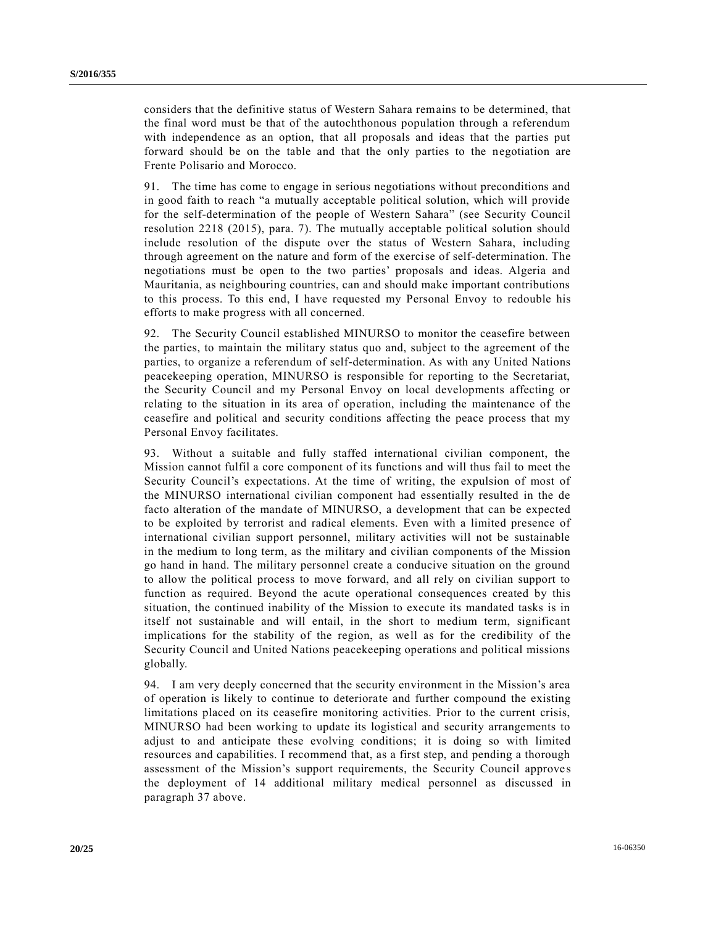considers that the definitive status of Western Sahara remains to be determined, that the final word must be that of the autochthonous population through a referendum with independence as an option, that all proposals and ideas that the parties put forward should be on the table and that the only parties to the negotiation are Frente Polisario and Morocco.

91. The time has come to engage in serious negotiations without preconditions and in good faith to reach "a mutually acceptable political solution, which will provide for the self-determination of the people of Western Sahara" (see Security Council resolution 2218 (2015), para. 7). The mutually acceptable political solution should include resolution of the dispute over the status of Western Sahara, including through agreement on the nature and form of the exercise of self-determination. The negotiations must be open to the two parties' proposals and ideas. Algeria and Mauritania, as neighbouring countries, can and should make important contributions to this process. To this end, I have requested my Personal Envoy to redouble his efforts to make progress with all concerned.

92. The Security Council established MINURSO to monitor the ceasefire between the parties, to maintain the military status quo and, subject to the agreement of the parties, to organize a referendum of self-determination. As with any United Nations peacekeeping operation, MINURSO is responsible for reporting to the Secretariat, the Security Council and my Personal Envoy on local developments affecting or relating to the situation in its area of operation, including the maintenance of the ceasefire and political and security conditions affecting the peace process that my Personal Envoy facilitates.

93. Without a suitable and fully staffed international civilian component, the Mission cannot fulfil a core component of its functions and will thus fail to meet the Security Council's expectations. At the time of writing, the expulsion of most of the MINURSO international civilian component had essentially resulted in the de facto alteration of the mandate of MINURSO, a development that can be expected to be exploited by terrorist and radical elements. Even with a limited presence of international civilian support personnel, military activities will not be sustainable in the medium to long term, as the military and civilian components of the Mission go hand in hand. The military personnel create a conducive situation on the ground to allow the political process to move forward, and all rely on civilian support to function as required. Beyond the acute operational consequences created by this situation, the continued inability of the Mission to execute its mandated tasks is in itself not sustainable and will entail, in the short to medium term, significant implications for the stability of the region, as well as for the credibility of the Security Council and United Nations peacekeeping operations and political missions globally.

94. I am very deeply concerned that the security environment in the Mission's area of operation is likely to continue to deteriorate and further compound the existing limitations placed on its ceasefire monitoring activities. Prior to the current crisis, MINURSO had been working to update its logistical and security arrangements to adjust to and anticipate these evolving conditions; it is doing so with limited resources and capabilities. I recommend that, as a first step, and pending a thorough assessment of the Mission's support requirements, the Security Council approve s the deployment of 14 additional military medical personnel as discussed in paragraph 37 above.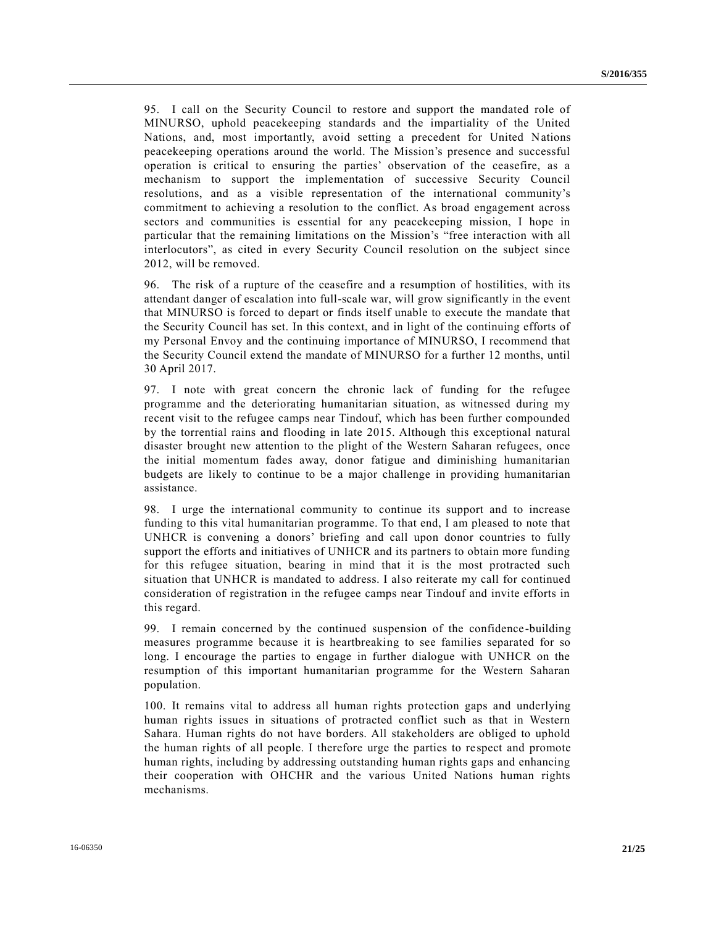95. I call on the Security Council to restore and support the mandated role of MINURSO, uphold peacekeeping standards and the impartiality of the United Nations, and, most importantly, avoid setting a precedent for United Nations peacekeeping operations around the world. The Mission's presence and successful operation is critical to ensuring the parties' observation of the ceasefire, as a mechanism to support the implementation of successive Security Council resolutions, and as a visible representation of the international community's commitment to achieving a resolution to the conflict. As broad engagement across sectors and communities is essential for any peacekeeping mission, I hope in particular that the remaining limitations on the Mission's "free interaction with all interlocutors", as cited in every Security Council resolution on the subject since 2012, will be removed.

96. The risk of a rupture of the ceasefire and a resumption of hostilities, with its attendant danger of escalation into full-scale war, will grow significantly in the event that MINURSO is forced to depart or finds itself unable to execute the mandate that the Security Council has set. In this context, and in light of the continuing efforts of my Personal Envoy and the continuing importance of MINURSO, I recommend that the Security Council extend the mandate of MINURSO for a further 12 months, until 30 April 2017.

97. I note with great concern the chronic lack of funding for the refugee programme and the deteriorating humanitarian situation, as witnessed during my recent visit to the refugee camps near Tindouf, which has been further compounded by the torrential rains and flooding in late 2015. Although this exceptional natural disaster brought new attention to the plight of the Western Saharan refugees, once the initial momentum fades away, donor fatigue and diminishing humanitarian budgets are likely to continue to be a major challenge in providing humanitarian assistance.

98. I urge the international community to continue its support and to increase funding to this vital humanitarian programme. To that end, I am pleased to note that UNHCR is convening a donors' briefing and call upon donor countries to fully support the efforts and initiatives of UNHCR and its partners to obtain more funding for this refugee situation, bearing in mind that it is the most protracted such situation that UNHCR is mandated to address. I also reiterate my call for continued consideration of registration in the refugee camps near Tindouf and invite efforts in this regard.

99. I remain concerned by the continued suspension of the confidence-building measures programme because it is heartbreaking to see families separated for so long. I encourage the parties to engage in further dialogue with UNHCR on the resumption of this important humanitarian programme for the Western Saharan population.

100. It remains vital to address all human rights protection gaps and underlying human rights issues in situations of protracted conflict such as that in Western Sahara. Human rights do not have borders. All stakeholders are obliged to uphold the human rights of all people. I therefore urge the parties to respect and promote human rights, including by addressing outstanding human rights gaps and enhancing their cooperation with OHCHR and the various United Nations human rights mechanisms.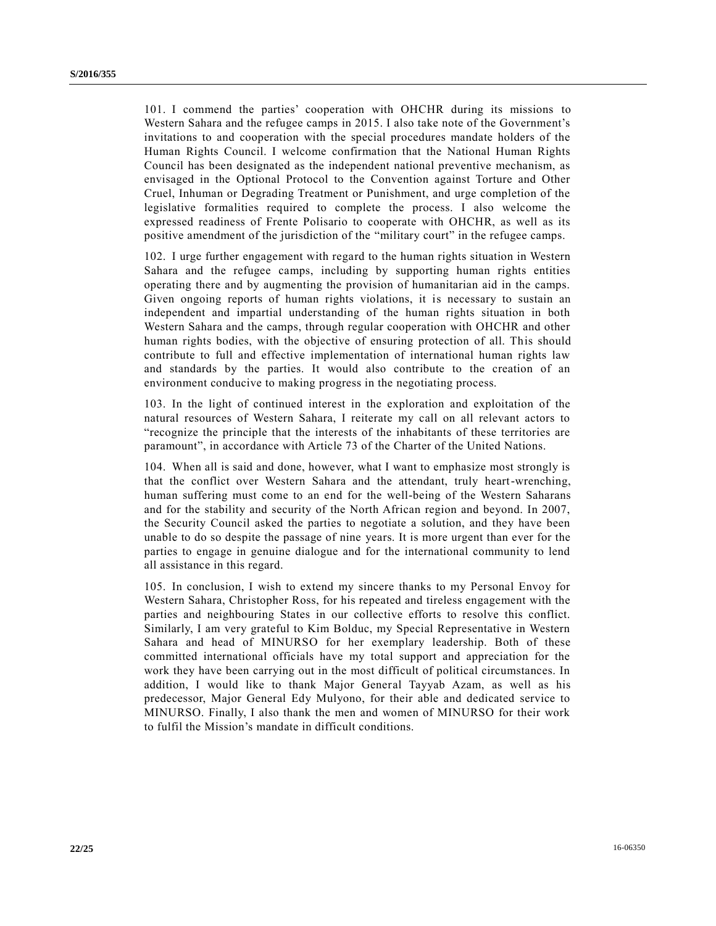101. I commend the parties' cooperation with OHCHR during its missions to Western Sahara and the refugee camps in 2015. I also take note of the Government's invitations to and cooperation with the special procedures mandate holders of the Human Rights Council. I welcome confirmation that the National Human Rights Council has been designated as the independent national preventive mechanism, as envisaged in the Optional Protocol to the Convention against Torture and Other Cruel, Inhuman or Degrading Treatment or Punishment, and urge completion of the legislative formalities required to complete the process. I also welcome the expressed readiness of Frente Polisario to cooperate with OHCHR, as well as its positive amendment of the jurisdiction of the "military court" in the refugee camps.

102. I urge further engagement with regard to the human rights situation in Western Sahara and the refugee camps, including by supporting human rights entities operating there and by augmenting the provision of humanitarian aid in the camps. Given ongoing reports of human rights violations, it is necessary to sustain an independent and impartial understanding of the human rights situation in both Western Sahara and the camps, through regular cooperation with OHCHR and other human rights bodies, with the objective of ensuring protection of all. This should contribute to full and effective implementation of international human rights law and standards by the parties. It would also contribute to the creation of an environment conducive to making progress in the negotiating process.

103. In the light of continued interest in the exploration and exploitation of the natural resources of Western Sahara, I reiterate my call on all relevant actors to "recognize the principle that the interests of the inhabitants of these territories are paramount", in accordance with Article 73 of the Charter of the United Nations.

104. When all is said and done, however, what I want to emphasize most strongly is that the conflict over Western Sahara and the attendant, truly heart-wrenching, human suffering must come to an end for the well-being of the Western Saharans and for the stability and security of the North African region and beyond. In 2007, the Security Council asked the parties to negotiate a solution, and they have been unable to do so despite the passage of nine years. It is more urgent than ever for the parties to engage in genuine dialogue and for the international community to lend all assistance in this regard.

105. In conclusion, I wish to extend my sincere thanks to my Personal Envoy for Western Sahara, Christopher Ross, for his repeated and tireless engagement with the parties and neighbouring States in our collective efforts to resolve this conflict. Similarly, I am very grateful to Kim Bolduc, my Special Representative in Western Sahara and head of MINURSO for her exemplary leadership. Both of these committed international officials have my total support and appreciation for the work they have been carrying out in the most difficult of political circumstances. In addition, I would like to thank Major General Tayyab Azam, as well as his predecessor, Major General Edy Mulyono, for their able and dedicated service to MINURSO. Finally, I also thank the men and women of MINURSO for their work to fulfil the Mission's mandate in difficult conditions.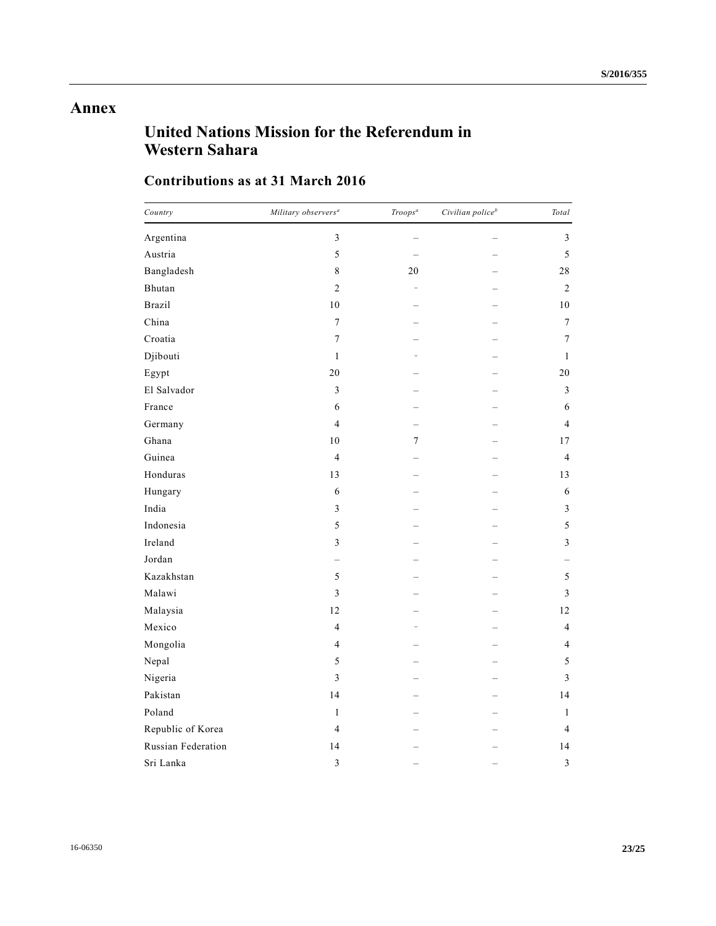## **Annex**

# **United Nations Mission for the Referendum in Western Sahara**

### **Contributions as at 31 March 2016**

| Country            | Military observers <sup>a</sup> | Troops <sup>a</sup>      | Civilian police <sup>b</sup> | Total            |
|--------------------|---------------------------------|--------------------------|------------------------------|------------------|
| Argentina          | 3                               |                          |                              | 3                |
| Austria            | 5                               |                          |                              | 5                |
| Bangladesh         | 8                               | 20                       |                              | 28               |
| Bhutan             | $\overline{c}$                  | $\overline{\phantom{a}}$ |                              | 2                |
| <b>Brazil</b>      | 10                              |                          |                              | 10               |
| China              | $\tau$                          |                          |                              | $\boldsymbol{7}$ |
| Croatia            | $\boldsymbol{7}$                |                          |                              | 7                |
| Djibouti           | $\mathbf{1}$                    |                          |                              | $\mathbf{1}$     |
| Egypt              | 20                              |                          |                              | 20               |
| El Salvador        | $\mathfrak{Z}$                  |                          |                              | $\mathfrak{Z}$   |
| France             | 6                               |                          |                              | 6                |
| Germany            | $\overline{4}$                  |                          |                              | $\overline{4}$   |
| Ghana              | 10                              | $\boldsymbol{7}$         |                              | 17               |
| Guinea             | $\overline{4}$                  |                          |                              | $\overline{4}$   |
| Honduras           | 13                              |                          |                              | 13               |
| Hungary            | 6                               |                          |                              | 6                |
| India              | $\mathfrak{Z}$                  |                          |                              | $\mathfrak{Z}$   |
| Indonesia          | 5                               |                          |                              | 5                |
| Ireland            | 3                               |                          |                              | 3                |
| Jordan             |                                 |                          |                              |                  |
| Kazakhstan         | 5                               |                          |                              | 5                |
| Malawi             | 3                               |                          |                              | 3                |
| Malaysia           | 12                              |                          |                              | 12               |
| Mexico             | $\overline{4}$                  |                          |                              | $\overline{4}$   |
| Mongolia           | $\overline{4}$                  |                          |                              | 4                |
| Nepal              | 5                               |                          |                              | 5                |
| Nigeria            | 3                               |                          |                              | $\mathfrak{Z}$   |
| Pakistan           | 14                              |                          |                              | 14               |
| Poland             | $\mathbf{1}$                    |                          |                              | 1                |
| Republic of Korea  | $\overline{4}$                  |                          |                              | $\overline{4}$   |
| Russian Federation | 14                              |                          |                              | 14               |
| Sri Lanka          | $\overline{3}$                  |                          |                              | $\mathfrak{Z}$   |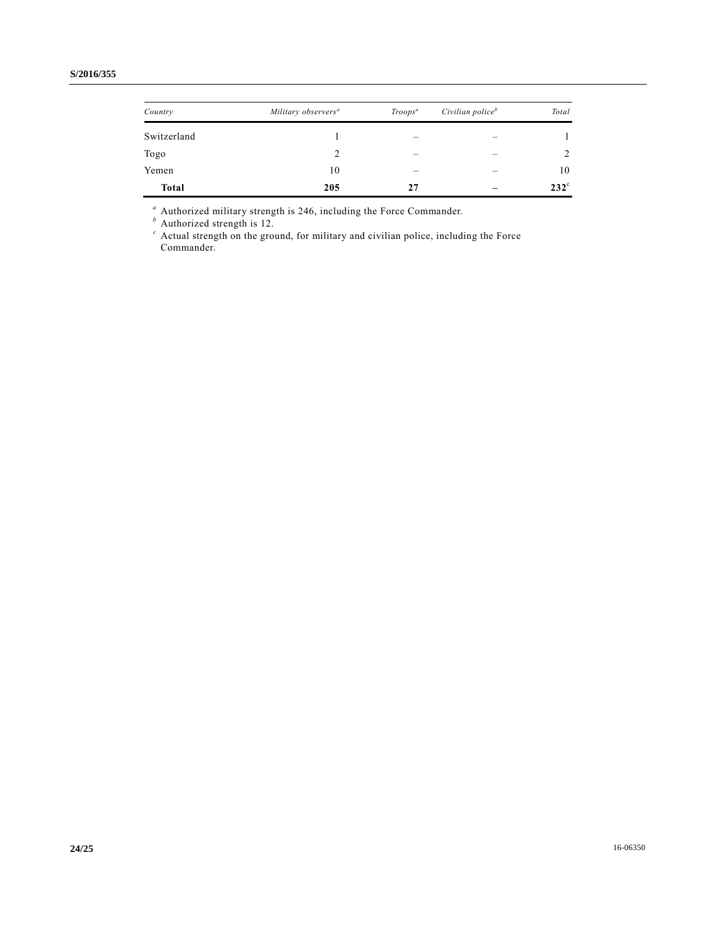| Country      | Military observers <sup>a</sup> | $Troops^a$ | Civilian police <sup>b</sup> | Total         |
|--------------|---------------------------------|------------|------------------------------|---------------|
| Switzerland  |                                 |            |                              |               |
| Togo         | ာ                               |            |                              | 2             |
| Yemen        | 10                              |            |                              | 10            |
| <b>Total</b> | 205                             | 27         |                              | $232^{\circ}$ |

*<sup>a</sup>* Authorized military strength is 246, including the Force Commander.

*<sup>b</sup>* Authorized strength is 12.

*<sup>c</sup>* Actual strength on the ground, for military and civilian police, including the Force Commander.